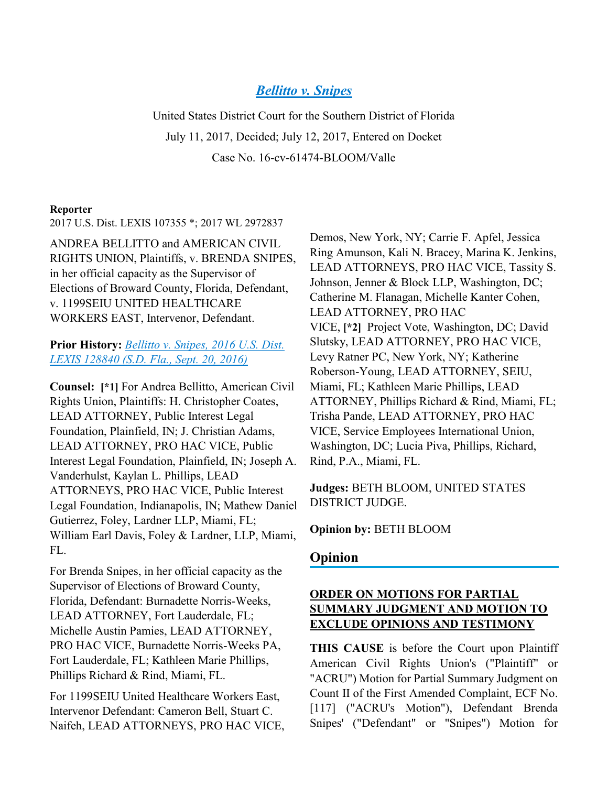# *[Bellitto v. Snipes](https://advance.lexis.com/api/document?collection=cases&id=urn:contentItem:5P0S-5CX1-F04D-1215-00000-00&context=)*

United States District Court for the Southern District of Florida July 11, 2017, Decided; July 12, 2017, Entered on Docket Case No. 16-cv-61474-BLOOM/Valle

#### **Reporter**

2017 U.S. Dist. LEXIS 107355 \*; 2017 WL 2972837

ANDREA BELLITTO and AMERICAN CIVIL RIGHTS UNION, Plaintiffs, v. BRENDA SNIPES, in her official capacity as the Supervisor of Elections of Broward County, Florida, Defendant, v. 1199SEIU UNITED HEALTHCARE WORKERS EAST, Intervenor, Defendant.

**Prior History:** *[Bellitto v. Snipes, 2016 U.S. Dist.](https://advance.lexis.com/api/document?collection=cases&id=urn:contentItem:5KS6-6541-F04D-10JX-00000-00&context=)  [LEXIS 128840 \(S.D. Fla., Sept. 20, 2016\)](https://advance.lexis.com/api/document?collection=cases&id=urn:contentItem:5KS6-6541-F04D-10JX-00000-00&context=)*

**Counsel: [\*1]** For Andrea Bellitto, American Civil Rights Union, Plaintiffs: H. Christopher Coates, LEAD ATTORNEY, Public Interest Legal Foundation, Plainfield, IN; J. Christian Adams, LEAD ATTORNEY, PRO HAC VICE, Public Interest Legal Foundation, Plainfield, IN; Joseph A. Vanderhulst, Kaylan L. Phillips, LEAD ATTORNEYS, PRO HAC VICE, Public Interest Legal Foundation, Indianapolis, IN; Mathew Daniel Gutierrez, Foley, Lardner LLP, Miami, FL; William Earl Davis, Foley & Lardner, LLP, Miami, FL.

For Brenda Snipes, in her official capacity as the Supervisor of Elections of Broward County, Florida, Defendant: Burnadette Norris-Weeks, LEAD ATTORNEY, Fort Lauderdale, FL; Michelle Austin Pamies, LEAD ATTORNEY, PRO HAC VICE, Burnadette Norris-Weeks PA, Fort Lauderdale, FL; Kathleen Marie Phillips, Phillips Richard & Rind, Miami, FL.

For 1199SEIU United Healthcare Workers East, Intervenor Defendant: Cameron Bell, Stuart C. Naifeh, LEAD ATTORNEYS, PRO HAC VICE,

Demos, New York, NY; Carrie F. Apfel, Jessica Ring Amunson, Kali N. Bracey, Marina K. Jenkins, LEAD ATTORNEYS, PRO HAC VICE, Tassity S. Johnson, Jenner & Block LLP, Washington, DC; Catherine M. Flanagan, Michelle Kanter Cohen, LEAD ATTORNEY, PRO HAC VICE, **[\*2]** Project Vote, Washington, DC; David Slutsky, LEAD ATTORNEY, PRO HAC VICE, Levy Ratner PC, New York, NY; Katherine Roberson-Young, LEAD ATTORNEY, SEIU, Miami, FL; Kathleen Marie Phillips, LEAD ATTORNEY, Phillips Richard & Rind, Miami, FL; Trisha Pande, LEAD ATTORNEY, PRO HAC VICE, Service Employees International Union, Washington, DC; Lucia Piva, Phillips, Richard, Rind, P.A., Miami, FL.

**Judges:** BETH BLOOM, UNITED STATES DISTRICT JUDGE.

**Opinion by:** BETH BLOOM

#### **Opinion**

## **ORDER ON MOTIONS FOR PARTIAL SUMMARY JUDGMENT AND MOTION TO EXCLUDE OPINIONS AND TESTIMONY**

**THIS CAUSE** is before the Court upon Plaintiff American Civil Rights Union's ("Plaintiff" or "ACRU") Motion for Partial Summary Judgment on Count II of the First Amended Complaint, ECF No. [117] ("ACRU's Motion"), Defendant Brenda Snipes' ("Defendant" or "Snipes") Motion for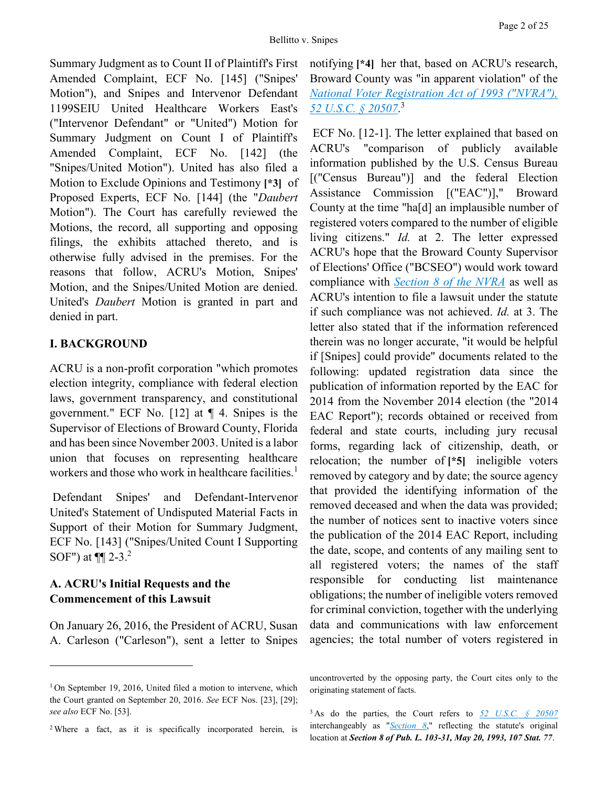Summary Judgment as to Count II of Plaintiff's First Amended Complaint, ECF No. [145] ("Snipes' Motion"), and Snipes and Intervenor Defendant 1199SEIU United Healthcare Workers East's ("Intervenor Defendant" or "United") Motion for Summary Judgment on Count I of Plaintiff's Amended Complaint, ECF No. [142] (the "Snipes/United Motion"). United has also filed a Motion to Exclude Opinions and Testimony **[\*3]** of Proposed Experts, ECF No. [144] (the "*Daubert* Motion"). The Court has carefully reviewed the Motions, the record, all supporting and opposing filings, the exhibits attached thereto, and is otherwise fully advised in the premises. For the reasons that follow, ACRU's Motion, Snipes' Motion, and the Snipes/United Motion are denied. United's *Daubert* Motion is granted in part and denied in part.

# **I. BACKGROUND**

ACRU is a non-profit corporation "which promotes election integrity, compliance with federal election laws, government transparency, and constitutional government." ECF No. [12] at ¶ 4. Snipes is the Supervisor of Elections of Broward County, Florida and has been since November 2003. United is a labor union that focuses on representing healthcare workers and those who work in healthcare facilities.<sup>1</sup>

Defendant Snipes' and Defendant-Intervenor United's Statement of Undisputed Material Facts in Support of their Motion for Summary Judgment, ECF No. [143] ("Snipes/United Count I Supporting SOF") at ¶¶ 2-3.<sup>2</sup>

# **A. ACRU's Initial Requests and the Commencement of this Lawsuit**

 $\overline{a}$ 

On January 26, 2016, the President of ACRU, Susan A. Carleson ("Carleson"), sent a letter to Snipes

<sup>2</sup> Where a fact, as it is specifically incorporated herein, is

notifying **[\*4]** her that, based on ACRU's research, Broward County was "in apparent violation" of the *[National Voter Registration Act of 1993 \("NVRA"\),](https://advance.lexis.com/api/document?collection=statutes-legislation&id=urn:contentItem:5D3N-F731-NRF4-4007-00000-00&context=)  [52 U.S.C. § 20507](https://advance.lexis.com/api/document?collection=statutes-legislation&id=urn:contentItem:5D3N-F731-NRF4-4007-00000-00&context=)*. 3

ECF No. [12-1]. The letter explained that based on ACRU's "comparison of publicly available information published by the U.S. Census Bureau [("Census Bureau")] and the federal Election Assistance Commission [("EAC")]," Broward County at the time "ha[d] an implausible number of registered voters compared to the number of eligible living citizens." *Id.* at 2. The letter expressed ACRU's hope that the Broward County Supervisor of Elections' Office ("BCSEO") would work toward compliance with *[Section 8 of the NVRA](https://advance.lexis.com/api/document?collection=statutes-legislation&id=urn:contentItem:5D3N-F731-NRF4-4007-00000-00&context=)* as well as ACRU's intention to file a lawsuit under the statute if such compliance was not achieved. *Id.* at 3. The letter also stated that if the information referenced therein was no longer accurate, "it would be helpful if [Snipes] could provide" documents related to the following: updated registration data since the publication of information reported by the EAC for 2014 from the November 2014 election (the "2014 EAC Report"); records obtained or received from federal and state courts, including jury recusal forms, regarding lack of citizenship, death, or relocation; the number of **[\*5]** ineligible voters removed by category and by date; the source agency that provided the identifying information of the removed deceased and when the data was provided; the number of notices sent to inactive voters since the publication of the 2014 EAC Report, including the date, scope, and contents of any mailing sent to all registered voters; the names of the staff responsible for conducting list maintenance obligations; the number of ineligible voters removed for criminal conviction, together with the underlying data and communications with law enforcement agencies; the total number of voters registered in

<sup>&</sup>lt;sup>1</sup> On September 19, 2016, United filed a motion to intervene, which the Court granted on September 20, 2016. *See* ECF Nos. [23], [29]; *see also* ECF No. [53].

uncontroverted by the opposing party, the Court cites only to the originating statement of facts.

<sup>3</sup> As do the parties, the Court refers to *[52 U.S.C. § 20507](https://advance.lexis.com/api/document?collection=statutes-legislation&id=urn:contentItem:5D3N-F731-NRF4-4007-00000-00&context=)* interchangeably as "*[Section 8](https://advance.lexis.com/api/document?collection=statutes-legislation&id=urn:contentItem:5D3N-F731-NRF4-4007-00000-00&context=)*," reflecting the statute's original location at *Section 8 of Pub. L. 103-31, May 20, 1993, 107 Stat. 77*.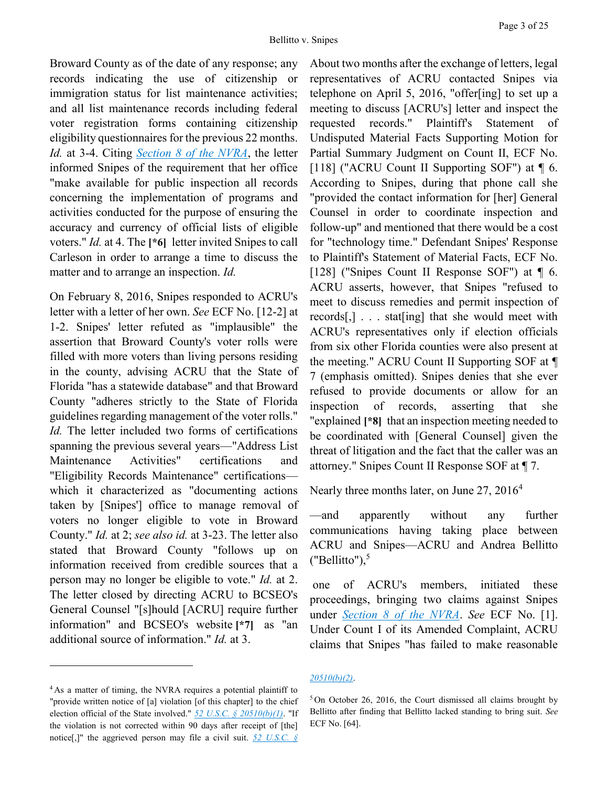Broward County as of the date of any response; any records indicating the use of citizenship or immigration status for list maintenance activities; and all list maintenance records including federal voter registration forms containing citizenship eligibility questionnaires for the previous 22 months. *Id.* at 3-4. Citing *Section 8 [of the NVRA](https://advance.lexis.com/api/document?collection=statutes-legislation&id=urn:contentItem:5D3N-F731-NRF4-4007-00000-00&context=)*, the letter informed Snipes of the requirement that her office "make available for public inspection all records concerning the implementation of programs and activities conducted for the purpose of ensuring the accuracy and currency of official lists of eligible voters." *Id.* at 4. The **[\*6]** letter invited Snipes to call Carleson in order to arrange a time to discuss the matter and to arrange an inspection. *Id.*

On February 8, 2016, Snipes responded to ACRU's letter with a letter of her own. *See* ECF No. [12-2] at 1-2. Snipes' letter refuted as "implausible" the assertion that Broward County's voter rolls were filled with more voters than living persons residing in the county, advising ACRU that the State of Florida "has a statewide database" and that Broward County "adheres strictly to the State of Florida guidelines regarding management of the voter rolls." *Id.* The letter included two forms of certifications spanning the previous several years—"Address List Maintenance Activities" certifications and "Eligibility Records Maintenance" certifications which it characterized as "documenting actions taken by [Snipes'] office to manage removal of voters no longer eligible to vote in Broward County." *Id.* at 2; *see also id.* at 3-23. The letter also stated that Broward County "follows up on information received from credible sources that a person may no longer be eligible to vote." *Id.* at 2. The letter closed by directing ACRU to BCSEO's General Counsel "[s]hould [ACRU] require further information" and BCSEO's website **[\*7]** as "an additional source of information." *Id.* at 3.

 $\overline{a}$ 

About two months after the exchange of letters, legal representatives of ACRU contacted Snipes via telephone on April 5, 2016, "offer[ing] to set up a meeting to discuss [ACRU's] letter and inspect the requested records." Plaintiff's Statement of Undisputed Material Facts Supporting Motion for Partial Summary Judgment on Count II, ECF No. [118] ("ACRU Count II Supporting SOF") at  $\P$  6. According to Snipes, during that phone call she "provided the contact information for [her] General Counsel in order to coordinate inspection and follow-up" and mentioned that there would be a cost for "technology time." Defendant Snipes' Response to Plaintiff's Statement of Material Facts, ECF No. [128] ("Snipes Count II Response SOF") at  $\P$  6. ACRU asserts, however, that Snipes "refused to meet to discuss remedies and permit inspection of records[,] . . . stat[ing] that she would meet with ACRU's representatives only if election officials from six other Florida counties were also present at the meeting." ACRU Count II Supporting SOF at ¶ 7 (emphasis omitted). Snipes denies that she ever refused to provide documents or allow for an inspection of records, asserting that she "explained **[\*8]** that an inspection meeting needed to be coordinated with [General Counsel] given the threat of litigation and the fact that the caller was an attorney." Snipes Count II Response SOF at ¶ 7.

Nearly three months later, on June 27, 2016<sup>4</sup>

—and apparently without any further communications having taking place between ACRU and Snipes—ACRU and Andrea Bellitto ("Bellitto"), $5$ 

one of ACRU's members, initiated these proceedings, bringing two claims against Snipes under *[Section 8 of the NVRA](https://advance.lexis.com/api/document?collection=statutes-legislation&id=urn:contentItem:5D3N-F731-NRF4-4007-00000-00&context=)*. *See* ECF No. [1]. Under Count I of its Amended Complaint, ACRU claims that Snipes "has failed to make reasonable

#### *[20510\(b\)\(2\)](https://advance.lexis.com/api/document?collection=statutes-legislation&id=urn:contentItem:5D3N-F741-NRF4-400B-00000-00&context=)*.

<sup>&</sup>lt;sup>4</sup> As a matter of timing, the NVRA requires a potential plaintiff to "provide written notice of [a] violation [of this chapter] to the chief election official of the State involved." *[52 U.S.C. § 20510\(b\)\(1\)](https://advance.lexis.com/api/document?collection=statutes-legislation&id=urn:contentItem:5D3N-F741-NRF4-400B-00000-00&context=)*. "If the violation is not corrected within 90 days after receipt of [the] notice[,]" the aggrieved person may file a civil suit. *[52 U.S.C. §](https://advance.lexis.com/api/document?collection=statutes-legislation&id=urn:contentItem:5D3N-F741-NRF4-400B-00000-00&context=)* 

<sup>5</sup> On October 26, 2016, the Court dismissed all claims brought by Bellitto after finding that Bellitto lacked standing to bring suit. *See* ECF No. [64].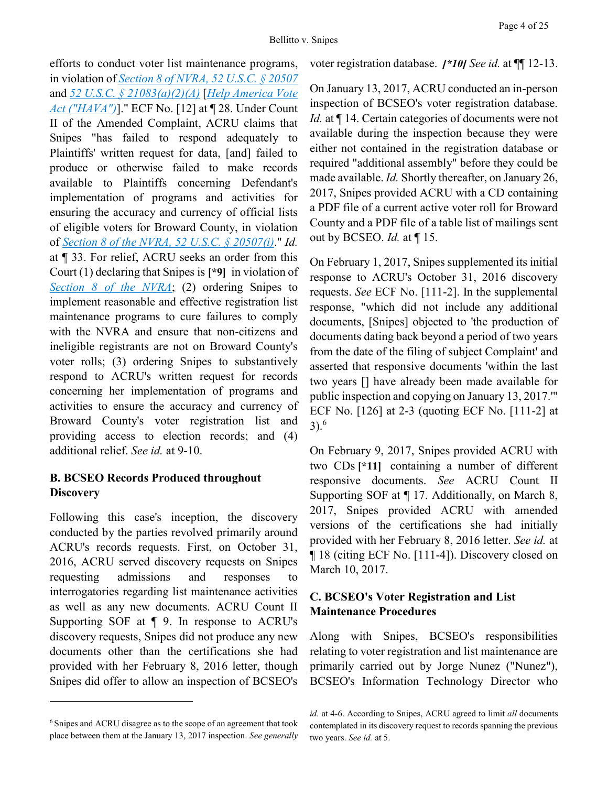efforts to conduct voter list maintenance programs, in violation of *[Section 8 of NVRA, 52 U.S.C. § 20507](https://advance.lexis.com/api/document?collection=statutes-legislation&id=urn:contentItem:5D3N-F731-NRF4-4007-00000-00&context=)* and *[52 U.S.C. § 21083\(a\)\(2\)\(A\)](https://advance.lexis.com/api/document?collection=statutes-legislation&id=urn:contentItem:5D3N-FR61-NRF4-4003-00000-00&context=)* [*[Help America Vote](https://advance.lexis.com/api/document?collection=statutes-legislation&id=urn:contentItem:4YF7-GT11-NRF4-431V-00000-00&context=)  [Act \("HAVA"\)](https://advance.lexis.com/api/document?collection=statutes-legislation&id=urn:contentItem:4YF7-GT11-NRF4-431V-00000-00&context=)*]." ECF No. [12] at ¶ 28. Under Count II of the Amended Complaint, ACRU claims that Snipes "has failed to respond adequately to Plaintiffs' written request for data, [and] failed to produce or otherwise failed to make records available to Plaintiffs concerning Defendant's implementation of programs and activities for ensuring the accuracy and currency of official lists of eligible voters for Broward County, in violation of *[Section 8 of the NVRA, 52 U.S.C. § 20507\(i\)](https://advance.lexis.com/api/document?collection=statutes-legislation&id=urn:contentItem:5D3N-F731-NRF4-4007-00000-00&context=)*." *Id.* at ¶ 33. For relief, ACRU seeks an order from this Court (1) declaring that Snipes is **[\*9]** in violation of *[Section 8 of the NVRA](https://advance.lexis.com/api/document?collection=statutes-legislation&id=urn:contentItem:5D3N-F731-NRF4-4007-00000-00&context=)*; (2) ordering Snipes to implement reasonable and effective registration list maintenance programs to cure failures to comply with the NVRA and ensure that non-citizens and ineligible registrants are not on Broward County's voter rolls; (3) ordering Snipes to substantively respond to ACRU's written request for records concerning her implementation of programs and activities to ensure the accuracy and currency of Broward County's voter registration list and providing access to election records; and (4) additional relief. *See id.* at 9-10.

# **B. BCSEO Records Produced throughout Discovery**

Following this case's inception, the discovery conducted by the parties revolved primarily around ACRU's records requests. First, on October 31, 2016, ACRU served discovery requests on Snipes requesting admissions and responses to interrogatories regarding list maintenance activities as well as any new documents. ACRU Count II Supporting SOF at ¶ 9. In response to ACRU's discovery requests, Snipes did not produce any new documents other than the certifications she had provided with her February 8, 2016 letter, though Snipes did offer to allow an inspection of BCSEO's

 $\overline{a}$ 

#### voter registration database. *[\*10] See id.* at ¶¶ 12-13.

On January 13, 2017, ACRU conducted an in-person inspection of BCSEO's voter registration database. *Id.* at ¶ 14. Certain categories of documents were not available during the inspection because they were either not contained in the registration database or required "additional assembly" before they could be made available. *Id.* Shortly thereafter, on January 26, 2017, Snipes provided ACRU with a CD containing a PDF file of a current active voter roll for Broward County and a PDF file of a table list of mailings sent out by BCSEO. *Id.* at ¶ 15.

On February 1, 2017, Snipes supplemented its initial response to ACRU's October 31, 2016 discovery requests. *See* ECF No. [111-2]. In the supplemental response, "which did not include any additional documents, [Snipes] objected to 'the production of documents dating back beyond a period of two years from the date of the filing of subject Complaint' and asserted that responsive documents 'within the last two years [] have already been made available for public inspection and copying on January 13, 2017.'" ECF No. [126] at 2-3 (quoting ECF No. [111-2] at  $3)$ .<sup>6</sup>

On February 9, 2017, Snipes provided ACRU with two CDs **[\*11]** containing a number of different responsive documents. *See* ACRU Count II Supporting SOF at ¶ 17. Additionally, on March 8, 2017, Snipes provided ACRU with amended versions of the certifications she had initially provided with her February 8, 2016 letter. *See id.* at ¶ 18 (citing ECF No. [111-4]). Discovery closed on March 10, 2017.

# **C. BCSEO's Voter Registration and List Maintenance Procedures**

Along with Snipes, BCSEO's responsibilities relating to voter registration and list maintenance are primarily carried out by Jorge Nunez ("Nunez"), BCSEO's Information Technology Director who

<sup>6</sup> Snipes and ACRU disagree as to the scope of an agreement that took place between them at the January 13, 2017 inspection. *See generally* 

*id.* at 4-6. According to Snipes, ACRU agreed to limit *all* documents contemplated in its discovery request to records spanning the previous two years. *See id.* at 5.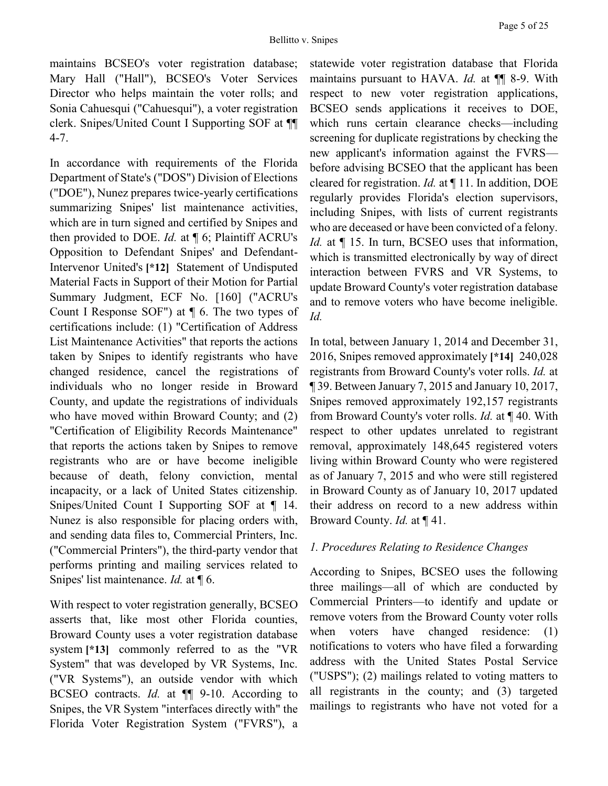maintains BCSEO's voter registration database; Mary Hall ("Hall"), BCSEO's Voter Services Director who helps maintain the voter rolls; and Sonia Cahuesqui ("Cahuesqui"), a voter registration clerk. Snipes/United Count I Supporting SOF at ¶¶ 4-7.

In accordance with requirements of the Florida Department of State's ("DOS") Division of Elections ("DOE"), Nunez prepares twice-yearly certifications summarizing Snipes' list maintenance activities, which are in turn signed and certified by Snipes and then provided to DOE. *Id.* at ¶ 6; Plaintiff ACRU's Opposition to Defendant Snipes' and Defendant-Intervenor United's **[\*12]** Statement of Undisputed Material Facts in Support of their Motion for Partial Summary Judgment, ECF No. [160] ("ACRU's Count I Response SOF") at ¶ 6. The two types of certifications include: (1) "Certification of Address List Maintenance Activities" that reports the actions taken by Snipes to identify registrants who have changed residence, cancel the registrations of individuals who no longer reside in Broward County, and update the registrations of individuals who have moved within Broward County; and (2) "Certification of Eligibility Records Maintenance" that reports the actions taken by Snipes to remove registrants who are or have become ineligible because of death, felony conviction, mental incapacity, or a lack of United States citizenship. Snipes/United Count I Supporting SOF at ¶ 14. Nunez is also responsible for placing orders with, and sending data files to, Commercial Printers, Inc. ("Commercial Printers"), the third-party vendor that performs printing and mailing services related to Snipes' list maintenance. *Id.* at ¶ 6.

With respect to voter registration generally, BCSEO asserts that, like most other Florida counties, Broward County uses a voter registration database system **[\*13]** commonly referred to as the "VR System" that was developed by VR Systems, Inc. ("VR Systems"), an outside vendor with which BCSEO contracts. *Id.* at ¶¶ 9-10. According to Snipes, the VR System "interfaces directly with" the Florida Voter Registration System ("FVRS"), a statewide voter registration database that Florida maintains pursuant to HAVA. *Id.* at ¶¶ 8-9. With respect to new voter registration applications, BCSEO sends applications it receives to DOE, which runs certain clearance checks—including screening for duplicate registrations by checking the new applicant's information against the FVRS before advising BCSEO that the applicant has been cleared for registration. *Id.* at ¶ 11. In addition, DOE regularly provides Florida's election supervisors, including Snipes, with lists of current registrants who are deceased or have been convicted of a felony. *Id.* at  $\P$  15. In turn, BCSEO uses that information, which is transmitted electronically by way of direct interaction between FVRS and VR Systems, to update Broward County's voter registration database and to remove voters who have become ineligible. *Id.*

In total, between January 1, 2014 and December 31, 2016, Snipes removed approximately **[\*14]** 240,028 registrants from Broward County's voter rolls. *Id.* at ¶ 39. Between January 7, 2015 and January 10, 2017, Snipes removed approximately 192,157 registrants from Broward County's voter rolls. *Id.* at ¶ 40. With respect to other updates unrelated to registrant removal, approximately 148,645 registered voters living within Broward County who were registered as of January 7, 2015 and who were still registered in Broward County as of January 10, 2017 updated their address on record to a new address within Broward County. *Id.* at ¶ 41.

## *1. Procedures Relating to Residence Changes*

According to Snipes, BCSEO uses the following three mailings—all of which are conducted by Commercial Printers—to identify and update or remove voters from the Broward County voter rolls when voters have changed residence: (1) notifications to voters who have filed a forwarding address with the United States Postal Service ("USPS"); (2) mailings related to voting matters to all registrants in the county; and (3) targeted mailings to registrants who have not voted for a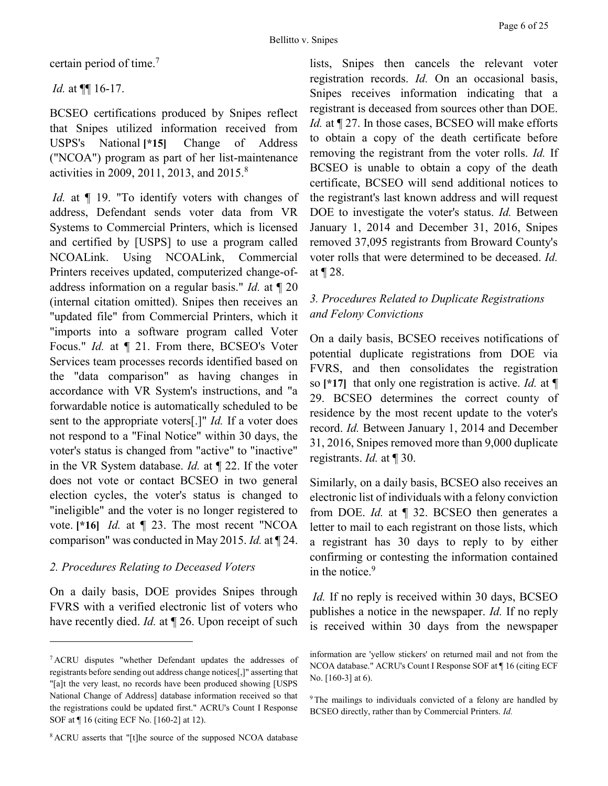certain period of time.<sup>7</sup>

*Id.* at ¶¶ 16-17.

BCSEO certifications produced by Snipes reflect that Snipes utilized information received from USPS's National **[\*15]** Change of Address ("NCOA") program as part of her list-maintenance activities in 2009, 2011, 2013, and 2015.<sup>8</sup>

*Id.* at  $\P$  19. "To identify voters with changes of address, Defendant sends voter data from VR Systems to Commercial Printers, which is licensed and certified by [USPS] to use a program called NCOALink. Using NCOALink, Commercial Printers receives updated, computerized change-ofaddress information on a regular basis." *Id.* at ¶ 20 (internal citation omitted). Snipes then receives an "updated file" from Commercial Printers, which it "imports into a software program called Voter Focus." *Id.* at ¶ 21. From there, BCSEO's Voter Services team processes records identified based on the "data comparison" as having changes in accordance with VR System's instructions, and "a forwardable notice is automatically scheduled to be sent to the appropriate voters[.]" *Id.* If a voter does not respond to a "Final Notice" within 30 days, the voter's status is changed from "active" to "inactive" in the VR System database. *Id.* at ¶ 22. If the voter does not vote or contact BCSEO in two general election cycles, the voter's status is changed to "ineligible" and the voter is no longer registered to vote. **[\*16]** *Id.* at ¶ 23. The most recent "NCOA comparison" was conducted in May 2015. *Id.* at ¶ 24.

## *2. Procedures Relating to Deceased Voters*

 $\overline{a}$ 

On a daily basis, DOE provides Snipes through FVRS with a verified electronic list of voters who have recently died. *Id.* at  $\P$  26. Upon receipt of such lists, Snipes then cancels the relevant voter registration records. *Id.* On an occasional basis, Snipes receives information indicating that a registrant is deceased from sources other than DOE. *Id.* at  $\P$  27. In those cases, BCSEO will make efforts to obtain a copy of the death certificate before removing the registrant from the voter rolls. *Id.* If BCSEO is unable to obtain a copy of the death certificate, BCSEO will send additional notices to the registrant's last known address and will request DOE to investigate the voter's status. *Id.* Between January 1, 2014 and December 31, 2016, Snipes removed 37,095 registrants from Broward County's voter rolls that were determined to be deceased. *Id.* at ¶ 28.

# *3. Procedures Related to Duplicate Registrations and Felony Convictions*

On a daily basis, BCSEO receives notifications of potential duplicate registrations from DOE via FVRS, and then consolidates the registration so **[\*17]** that only one registration is active. *Id.* at ¶ 29. BCSEO determines the correct county of residence by the most recent update to the voter's record. *Id.* Between January 1, 2014 and December 31, 2016, Snipes removed more than 9,000 duplicate registrants. *Id.* at ¶ 30.

Similarly, on a daily basis, BCSEO also receives an electronic list of individuals with a felony conviction from DOE. *Id.* at ¶ 32. BCSEO then generates a letter to mail to each registrant on those lists, which a registrant has 30 days to reply to by either confirming or contesting the information contained in the notice.<sup>9</sup>

*Id.* If no reply is received within 30 days, BCSEO publishes a notice in the newspaper. *Id.* If no reply is received within 30 days from the newspaper

<sup>8</sup> ACRU asserts that "[t]he source of the supposed NCOA database

<sup>7</sup> ACRU disputes "whether Defendant updates the addresses of registrants before sending out address change notices[,]" asserting that "[a]t the very least, no records have been produced showing [USPS National Change of Address] database information received so that the registrations could be updated first." ACRU's Count I Response SOF at ¶ 16 (citing ECF No. [160-2] at 12).

information are 'yellow stickers' on returned mail and not from the NCOA database." ACRU's Count I Response SOF at ¶ 16 (citing ECF No. [160-3] at 6).

<sup>&</sup>lt;sup>9</sup> The mailings to individuals convicted of a felony are handled by BCSEO directly, rather than by Commercial Printers. *Id.*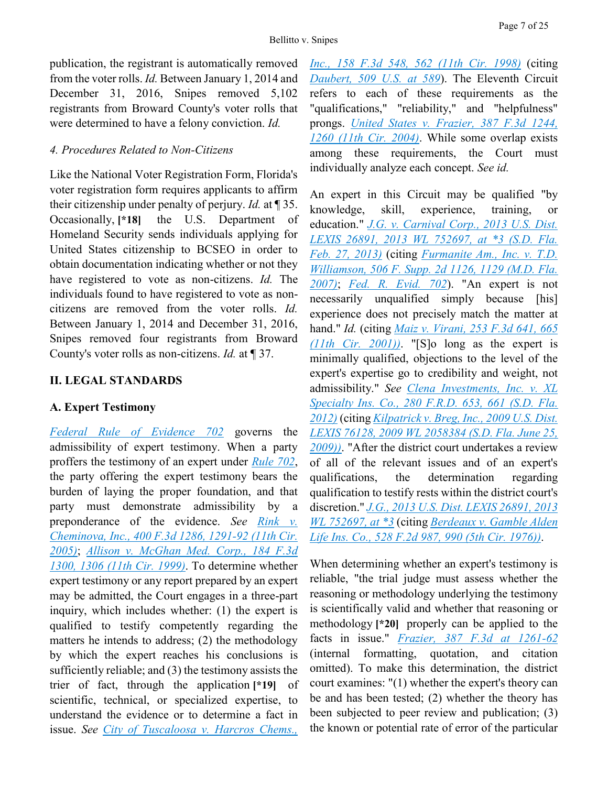publication, the registrant is automatically removed from the voter rolls. *Id.* Between January 1, 2014 and December 31, 2016, Snipes removed 5,102 registrants from Broward County's voter rolls that were determined to have a felony conviction. *Id.*

### *4. Procedures Related to Non-Citizens*

Like the National Voter Registration Form, Florida's voter registration form requires applicants to affirm their citizenship under penalty of perjury. *Id.* at ¶ 35. Occasionally, **[\*18]** the U.S. Department of Homeland Security sends individuals applying for United States citizenship to BCSEO in order to obtain documentation indicating whether or not they have registered to vote as non-citizens. *Id.* The individuals found to have registered to vote as noncitizens are removed from the voter rolls. *Id.* Between January 1, 2014 and December 31, 2016, Snipes removed four registrants from Broward County's voter rolls as non-citizens. *Id.* at ¶ 37.

## **II. LEGAL STANDARDS**

## **A. Expert Testimony**

*[Federal Rule of Evidence 702](https://advance.lexis.com/api/document?collection=statutes-legislation&id=urn:contentItem:5GYC-2991-FG36-120S-00000-00&context=)* governs the admissibility of expert testimony. When a party proffers the testimony of an expert under *[Rule 702](https://advance.lexis.com/api/document?collection=statutes-legislation&id=urn:contentItem:5GYC-2991-FG36-120S-00000-00&context=)*, the party offering the expert testimony bears the burden of laying the proper foundation, and that party must demonstrate admissibility by a preponderance of the evidence. *See [Rink v.](https://advance.lexis.com/api/document?collection=cases&id=urn:contentItem:4FJR-03C0-0038-X0VR-00000-00&context=)  [Cheminova, Inc., 400 F.3d 1286, 1291-92 \(11th Cir.](https://advance.lexis.com/api/document?collection=cases&id=urn:contentItem:4FJR-03C0-0038-X0VR-00000-00&context=)  [2005\)](https://advance.lexis.com/api/document?collection=cases&id=urn:contentItem:4FJR-03C0-0038-X0VR-00000-00&context=)*; *[Allison v. McGhan Med. Corp., 184 F.3d](https://advance.lexis.com/api/document?collection=cases&id=urn:contentItem:3X9B-F5J0-0038-X15G-00000-00&context=)  [1300, 1306 \(11th Cir. 1999\)](https://advance.lexis.com/api/document?collection=cases&id=urn:contentItem:3X9B-F5J0-0038-X15G-00000-00&context=)*. To determine whether expert testimony or any report prepared by an expert may be admitted, the Court engages in a three-part inquiry, which includes whether: (1) the expert is qualified to testify competently regarding the matters he intends to address; (2) the methodology by which the expert reaches his conclusions is sufficiently reliable; and (3) the testimony assists the trier of fact, through the application **[\*19]** of scientific, technical, or specialized expertise, to understand the evidence or to determine a fact in issue. *See [City of Tuscaloosa v. Harcros Chems.,](https://advance.lexis.com/api/document?collection=cases&id=urn:contentItem:3V14-G310-0038-X1D8-00000-00&context=)* 

*[Inc., 158 F.3d 548, 562 \(11th Cir. 1998\)](https://advance.lexis.com/api/document?collection=cases&id=urn:contentItem:3V14-G310-0038-X1D8-00000-00&context=)* (citing *[Daubert, 509 U.S. at 589](https://advance.lexis.com/api/document?collection=cases&id=urn:contentItem:3S4W-XDR0-003B-R3R6-00000-00&context=)*). The Eleventh Circuit refers to each of these requirements as the "qualifications," "reliability," and "helpfulness" prongs. *[United States v. Frazier, 387 F.3d 1244,](https://advance.lexis.com/api/document?collection=cases&id=urn:contentItem:4DJR-0730-0038-X3P8-00000-00&context=)  [1260 \(11th Cir. 2004\)](https://advance.lexis.com/api/document?collection=cases&id=urn:contentItem:4DJR-0730-0038-X3P8-00000-00&context=)*. While some overlap exists among these requirements, the Court must individually analyze each concept. *See id.*

An expert in this Circuit may be qualified "by knowledge, skill, experience, training, or education." *[J.G. v. Carnival Corp., 2013 U.S. Dist.](https://advance.lexis.com/api/document?collection=cases&id=urn:contentItem:57VJ-5W41-F04D-11S5-00000-00&context=)  [LEXIS 26891, 2013 WL 752697, at \\*3 \(S.D. Fla.](https://advance.lexis.com/api/document?collection=cases&id=urn:contentItem:57VJ-5W41-F04D-11S5-00000-00&context=)  [Feb. 27, 2013\)](https://advance.lexis.com/api/document?collection=cases&id=urn:contentItem:57VJ-5W41-F04D-11S5-00000-00&context=)* (citing *[Furmanite Am., Inc. v. T.D.](https://advance.lexis.com/api/document?collection=cases&id=urn:contentItem:4PW6-BSC0-TXFP-K2RS-00000-00&context=)  [Williamson, 506 F. Supp. 2d 1126, 1129 \(M.D. Fla.](https://advance.lexis.com/api/document?collection=cases&id=urn:contentItem:4PW6-BSC0-TXFP-K2RS-00000-00&context=)  [2007\)](https://advance.lexis.com/api/document?collection=cases&id=urn:contentItem:4PW6-BSC0-TXFP-K2RS-00000-00&context=)*; *[Fed. R. Evid. 702](https://advance.lexis.com/api/document?collection=statutes-legislation&id=urn:contentItem:5GYC-2991-FG36-120S-00000-00&context=)*). "An expert is not necessarily unqualified simply because [his] experience does not precisely match the matter at hand." *Id.* (citing *[Maiz v. Virani, 253 F.3d 641, 665](https://advance.lexis.com/api/document?collection=cases&id=urn:contentItem:437H-H490-0038-X1MT-00000-00&context=)  [\(11th Cir. 2001\)\)](https://advance.lexis.com/api/document?collection=cases&id=urn:contentItem:437H-H490-0038-X1MT-00000-00&context=)*. "[S]o long as the expert is minimally qualified, objections to the level of the expert's expertise go to credibility and weight, not admissibility." *See [Clena Investments, Inc. v. XL](https://advance.lexis.com/api/document?collection=cases&id=urn:contentItem:54VH-XF91-F04D-113C-00000-00&context=)  [Specialty Ins. Co., 280 F.R.D. 653, 661 \(S.D. Fla.](https://advance.lexis.com/api/document?collection=cases&id=urn:contentItem:54VH-XF91-F04D-113C-00000-00&context=)  [2012\)](https://advance.lexis.com/api/document?collection=cases&id=urn:contentItem:54VH-XF91-F04D-113C-00000-00&context=)* (citing *[Kilpatrick v. Breg, Inc., 2009 U.S. Dist.](https://advance.lexis.com/api/document?collection=cases&id=urn:contentItem:4X3G-2R70-TXFP-K3CG-00000-00&context=)  [LEXIS 76128, 2009 WL 2058384 \(S.D. Fla. June 25,](https://advance.lexis.com/api/document?collection=cases&id=urn:contentItem:4X3G-2R70-TXFP-K3CG-00000-00&context=)  [2009\)\)](https://advance.lexis.com/api/document?collection=cases&id=urn:contentItem:4X3G-2R70-TXFP-K3CG-00000-00&context=)*. "After the district court undertakes a review of all of the relevant issues and of an expert's qualifications, the determination regarding qualification to testify rests within the district court's discretion." *[J.G., 2013 U.S. Dist. LEXIS 26891, 2013](https://advance.lexis.com/api/document?collection=cases&id=urn:contentItem:57VJ-5W41-F04D-11S5-00000-00&context=)  [WL 752697, at \\*3](https://advance.lexis.com/api/document?collection=cases&id=urn:contentItem:57VJ-5W41-F04D-11S5-00000-00&context=)* (citing *[Berdeaux v. Gamble Alden](https://advance.lexis.com/api/document?collection=cases&id=urn:contentItem:3S4X-2510-0039-M0R3-00000-00&context=)  [Life Ins. Co., 528 F.2d 987, 990 \(5th Cir. 1976\)\)](https://advance.lexis.com/api/document?collection=cases&id=urn:contentItem:3S4X-2510-0039-M0R3-00000-00&context=)*.

When determining whether an expert's testimony is reliable, "the trial judge must assess whether the reasoning or methodology underlying the testimony is scientifically valid and whether that reasoning or methodology **[\*20]** properly can be applied to the facts in issue." *[Frazier, 387 F.3d at 1261-62](https://advance.lexis.com/api/document?collection=cases&id=urn:contentItem:4DJR-0730-0038-X3P8-00000-00&context=)* (internal formatting, quotation, and citation omitted). To make this determination, the district court examines: "(1) whether the expert's theory can be and has been tested; (2) whether the theory has been subjected to peer review and publication; (3) the known or potential rate of error of the particular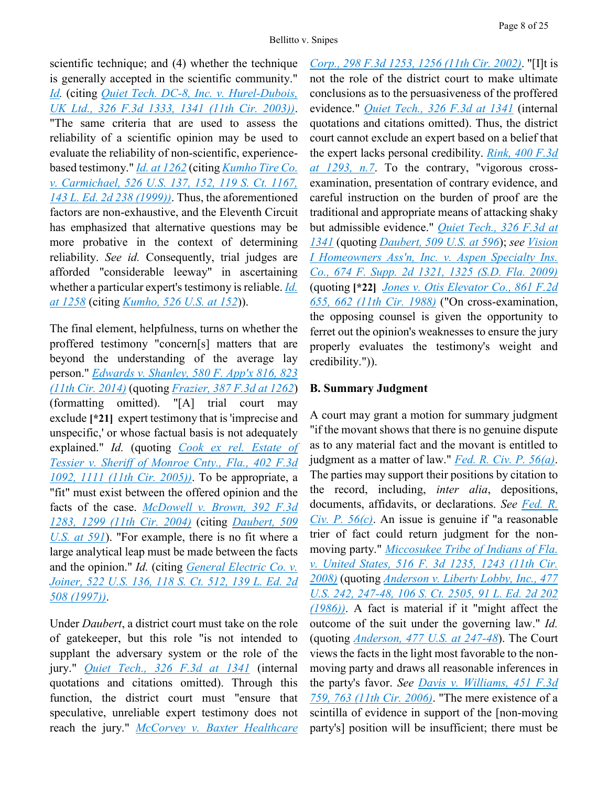Page 8 of 25

scientific technique; and (4) whether the technique is generally accepted in the scientific community." *[Id.](https://advance.lexis.com/api/document?collection=cases&id=urn:contentItem:4DJR-0730-0038-X3P8-00000-00&context=)* (citing *[Quiet Tech. DC-8, Inc. v. Hurel-Dubois,](https://advance.lexis.com/api/document?collection=cases&id=urn:contentItem:48BM-W8H0-0038-X0KS-00000-00&context=)  [UK Ltd., 326 F.3d 1333, 1341 \(11th Cir. 2003\)\)](https://advance.lexis.com/api/document?collection=cases&id=urn:contentItem:48BM-W8H0-0038-X0KS-00000-00&context=)*. "The same criteria that are used to assess the reliability of a scientific opinion may be used to evaluate the reliability of non-scientific, experiencebased testimony." *[Id.](https://advance.lexis.com/api/document?collection=cases&id=urn:contentItem:4DJR-0730-0038-X3P8-00000-00&context=) [at 1262](https://advance.lexis.com/api/document?collection=cases&id=urn:contentItem:4DJR-0730-0038-X3P8-00000-00&context=)* (citing *[Kumho Tire Co.](https://advance.lexis.com/api/document?collection=cases&id=urn:contentItem:3W30-2X60-004C-000J-00000-00&context=)  [v. Carmichael, 526 U.S. 137, 152, 119 S. Ct. 1167,](https://advance.lexis.com/api/document?collection=cases&id=urn:contentItem:3W30-2X60-004C-000J-00000-00&context=)  [143 L. Ed. 2d 238 \(1999\)\)](https://advance.lexis.com/api/document?collection=cases&id=urn:contentItem:3W30-2X60-004C-000J-00000-00&context=)*. Thus, the aforementioned factors are non-exhaustive, and the Eleventh Circuit has emphasized that alternative questions may be more probative in the context of determining reliability. *See id.* Consequently, trial judges are afforded "considerable leeway" in ascertaining whether a particular expert's testimony is reliable. *[Id.](https://advance.lexis.com/api/document?collection=cases&id=urn:contentItem:4DJR-0730-0038-X3P8-00000-00&context=) [at 1258](https://advance.lexis.com/api/document?collection=cases&id=urn:contentItem:4DJR-0730-0038-X3P8-00000-00&context=)* (citing *[Kumho, 526 U.S. at 152](https://advance.lexis.com/api/document?collection=cases&id=urn:contentItem:3W30-2X60-004C-000J-00000-00&context=)*)).

The final element, helpfulness, turns on whether the proffered testimony "concern[s] matters that are beyond the understanding of the average lay person." *[Edwards v. Shanley, 580 F. App'x 816, 823](https://advance.lexis.com/api/document?collection=cases&id=urn:contentItem:5D72-FDJ1-F04K-X0VT-00000-00&context=)  (11th [Cir. 2014\)](https://advance.lexis.com/api/document?collection=cases&id=urn:contentItem:5D72-FDJ1-F04K-X0VT-00000-00&context=)* (quoting *[Frazier, 387 F.3d at 1262](https://advance.lexis.com/api/document?collection=cases&id=urn:contentItem:4DJR-0730-0038-X3P8-00000-00&context=)*) (formatting omitted). "[A] trial court may exclude  $[21]$  expert testimony that is 'imprecise and unspecific,' or whose factual basis is not adequately explained." *Id.* (quoting *[Cook ex rel. Estate of](https://advance.lexis.com/api/document?collection=cases&id=urn:contentItem:4FNP-JF30-0038-X1HW-00000-00&context=)  [Tessier v. Sheriff of Monroe Cnty., Fla., 402 F.3d](https://advance.lexis.com/api/document?collection=cases&id=urn:contentItem:4FNP-JF30-0038-X1HW-00000-00&context=)  [1092, 1111 \(11th Cir. 2005\)\)](https://advance.lexis.com/api/document?collection=cases&id=urn:contentItem:4FNP-JF30-0038-X1HW-00000-00&context=)*. To be appropriate, a "fit" must exist between the offered opinion and the facts of the case. *[McDowell v. Brown, 392 F.3d](https://advance.lexis.com/api/document?collection=cases&id=urn:contentItem:4F03-7JF0-0038-X1B1-00000-00&context=)  [1283, 1299 \(11th Cir. 2004\)](https://advance.lexis.com/api/document?collection=cases&id=urn:contentItem:4F03-7JF0-0038-X1B1-00000-00&context=)* (citing *[Daubert, 509](https://advance.lexis.com/api/document?collection=cases&id=urn:contentItem:3S4W-XDR0-003B-R3R6-00000-00&context=)  [U.S. at 591](https://advance.lexis.com/api/document?collection=cases&id=urn:contentItem:3S4W-XDR0-003B-R3R6-00000-00&context=)*). "For example, there is no fit where a large analytical leap must be made between the facts and the opinion." *Id.* (citing *[General Electric Co. v.](https://advance.lexis.com/api/document?collection=cases&id=urn:contentItem:3RR5-5J20-004C-300R-00000-00&context=)  [Joiner, 522 U.S. 136, 118 S. Ct. 512, 139 L. Ed. 2d](https://advance.lexis.com/api/document?collection=cases&id=urn:contentItem:3RR5-5J20-004C-300R-00000-00&context=)  [508 \(1997\)\)](https://advance.lexis.com/api/document?collection=cases&id=urn:contentItem:3RR5-5J20-004C-300R-00000-00&context=)*.

Under *Daubert*, a district court must take on the role of gatekeeper, but this role "is not intended to supplant the adversary system or the role of the jury." *[Quiet Tech., 326 F.3d at 1341](https://advance.lexis.com/api/document?collection=cases&id=urn:contentItem:48BM-W8H0-0038-X0KS-00000-00&context=)* (internal quotations and citations omitted). Through this function, the district court must "ensure that speculative, unreliable expert testimony does not reach the jury." *[McCorvey v. Baxter Healthcare](https://advance.lexis.com/api/document?collection=cases&id=urn:contentItem:46DW-9CG0-0038-X0BT-00000-00&context=)*  *[Corp., 298 F.3d 1253, 1256 \(11th Cir. 2002\)](https://advance.lexis.com/api/document?collection=cases&id=urn:contentItem:46DW-9CG0-0038-X0BT-00000-00&context=)*. "[I]t is not the role of the district court to make ultimate conclusions as to the persuasiveness of the proffered evidence." *[Quiet Tech., 326 F.3d at 1341](https://advance.lexis.com/api/document?collection=cases&id=urn:contentItem:48BM-W8H0-0038-X0KS-00000-00&context=)* (internal quotations and citations omitted). Thus, the district court cannot exclude an expert based on a belief that the expert lacks personal credibility. *[Rink, 400 F.3d](https://advance.lexis.com/api/document?collection=cases&id=urn:contentItem:4FJR-03C0-0038-X0VR-00000-00&context=)  [at 1293, n.7](https://advance.lexis.com/api/document?collection=cases&id=urn:contentItem:4FJR-03C0-0038-X0VR-00000-00&context=)*. To the contrary, "vigorous crossexamination, presentation of contrary evidence, and careful instruction on the burden of proof are the traditional and appropriate means of attacking shaky but admissible evidence." *[Quiet Tech., 326 F.3d at](https://advance.lexis.com/api/document?collection=cases&id=urn:contentItem:48BM-W8H0-0038-X0KS-00000-00&context=)  [1341](https://advance.lexis.com/api/document?collection=cases&id=urn:contentItem:48BM-W8H0-0038-X0KS-00000-00&context=)* (quoting *[Daubert, 509 U.S. at 596](https://advance.lexis.com/api/document?collection=cases&id=urn:contentItem:3S4W-XDR0-003B-R3R6-00000-00&context=)*); *see [Vision](https://advance.lexis.com/api/document?collection=cases&id=urn:contentItem:7XF9-G020-YB0M-W029-00000-00&context=)  [I Homeowners Ass'n, Inc. v. Aspen Specialty Ins.](https://advance.lexis.com/api/document?collection=cases&id=urn:contentItem:7XF9-G020-YB0M-W029-00000-00&context=)  [Co., 674 F. Supp. 2d 1321, 1325 \(S.D. Fla. 2009\)](https://advance.lexis.com/api/document?collection=cases&id=urn:contentItem:7XF9-G020-YB0M-W029-00000-00&context=)* (quoting **[\*22]** *[Jones v. Otis Elevator Co., 861 F.2d](https://advance.lexis.com/api/document?collection=cases&id=urn:contentItem:3S4W-XFY0-001B-K1WJ-00000-00&context=)  [655, 662 \(11th Cir. 1988\)](https://advance.lexis.com/api/document?collection=cases&id=urn:contentItem:3S4W-XFY0-001B-K1WJ-00000-00&context=)* ("On cross-examination, the opposing counsel is given the opportunity to ferret out the opinion's weaknesses to ensure the jury properly evaluates the testimony's weight and credibility.")).

## **B. Summary Judgment**

A court may grant a motion for summary judgment "if the movant shows that there is no genuine dispute as to any material fact and the movant is entitled to judgment as a matter of law." *[Fed. R. Civ. P. 56\(a\)](https://advance.lexis.com/api/document?collection=statutes-legislation&id=urn:contentItem:5GYC-2421-6N19-F165-00000-00&context=)*. The parties may support their positions by citation to the record, including, *inter alia*, depositions, documents, affidavits, or declarations. *See [Fed. R.](https://advance.lexis.com/api/document?collection=statutes-legislation&id=urn:contentItem:5GYC-2421-6N19-F165-00000-00&context=)  [Civ. P. 56\(c\)](https://advance.lexis.com/api/document?collection=statutes-legislation&id=urn:contentItem:5GYC-2421-6N19-F165-00000-00&context=)*. An issue is genuine if "a reasonable trier of fact could return judgment for the nonmoving party." *[Miccosukee Tribe of Indians of Fla.](https://advance.lexis.com/api/document?collection=cases&id=urn:contentItem:4RV9-CF90-TXFX-G2KN-00000-00&context=)  [v. United States, 516 F. 3d 1235, 1243 \(11th Cir.](https://advance.lexis.com/api/document?collection=cases&id=urn:contentItem:4RV9-CF90-TXFX-G2KN-00000-00&context=)  [2008\)](https://advance.lexis.com/api/document?collection=cases&id=urn:contentItem:4RV9-CF90-TXFX-G2KN-00000-00&context=)* (quoting *[Anderson v. Liberty Lobby, Inc., 477](https://advance.lexis.com/api/document?collection=cases&id=urn:contentItem:3S4X-6H80-0039-N37M-00000-00&context=)  [U.S. 242, 247-48, 106 S. Ct. 2505, 91 L. Ed. 2d 202](https://advance.lexis.com/api/document?collection=cases&id=urn:contentItem:3S4X-6H80-0039-N37M-00000-00&context=)  [\(1986\)\)](https://advance.lexis.com/api/document?collection=cases&id=urn:contentItem:3S4X-6H80-0039-N37M-00000-00&context=)*. A fact is material if it "might affect the outcome of the suit under the governing law." *Id.* (quoting *[Anderson, 477 U.S. at 247-48](https://advance.lexis.com/api/document?collection=cases&id=urn:contentItem:3S4X-6H80-0039-N37M-00000-00&context=)*). The Court views the facts in the light most favorable to the nonmoving party and draws all reasonable inferences in the party's favor. *See [Davis v. Williams, 451 F.3d](https://advance.lexis.com/api/document?collection=cases&id=urn:contentItem:4K4H-9MM0-0038-X2V7-00000-00&context=)  [759, 763 \(11th Cir. 2006\)](https://advance.lexis.com/api/document?collection=cases&id=urn:contentItem:4K4H-9MM0-0038-X2V7-00000-00&context=)*. "The mere existence of a scintilla of evidence in support of the [non-moving party's] position will be insufficient; there must be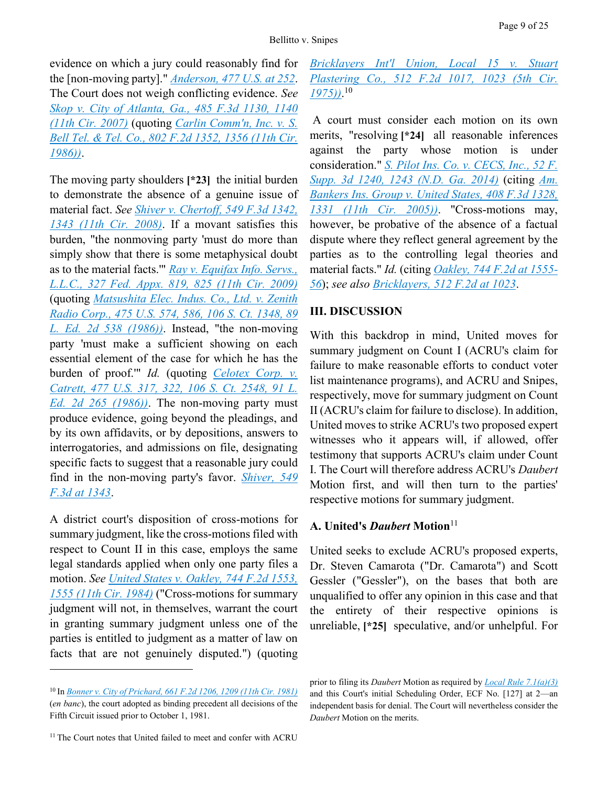evidence on which a jury could reasonably find for the [non-moving party]." *[Anderson, 477 U.S. at 252](https://advance.lexis.com/api/document?collection=cases&id=urn:contentItem:3S4X-6H80-0039-N37M-00000-00&context=)*. The Court does not weigh conflicting evidence. *See [Skop v. City of Atlanta, Ga., 485 F.3d 1130, 1140](https://advance.lexis.com/api/document?collection=cases&id=urn:contentItem:4NMW-P8N0-0038-X0GD-00000-00&context=)  [\(11th Cir. 2007\)](https://advance.lexis.com/api/document?collection=cases&id=urn:contentItem:4NMW-P8N0-0038-X0GD-00000-00&context=)* (quoting *[Carlin Comm'n, Inc. v. S.](https://advance.lexis.com/api/document?collection=cases&id=urn:contentItem:3S4W-YP40-0039-P40F-00000-00&context=)  [Bell Tel. & Tel. Co., 802 F.2d 1352, 1356 \(11th Cir.](https://advance.lexis.com/api/document?collection=cases&id=urn:contentItem:3S4W-YP40-0039-P40F-00000-00&context=)  [1986\)\)](https://advance.lexis.com/api/document?collection=cases&id=urn:contentItem:3S4W-YP40-0039-P40F-00000-00&context=)*.

The moving party shoulders **[\*23]** the initial burden to demonstrate the absence of a genuine issue of material fact. *See [Shiver v. Chertoff, 549 F.3d 1342,](https://advance.lexis.com/api/document?collection=cases&id=urn:contentItem:4V13-14H0-TXFX-G2NC-00000-00&context=)  [1343 \(11th Cir. 2008\)](https://advance.lexis.com/api/document?collection=cases&id=urn:contentItem:4V13-14H0-TXFX-G2NC-00000-00&context=)*. If a movant satisfies this burden, "the nonmoving party 'must do more than simply show that there is some metaphysical doubt as to the material facts.'" *[Ray v. Equifax Info. Servs.,](https://advance.lexis.com/api/document?collection=cases&id=urn:contentItem:4W2P-HRS0-TXFX-G3B2-00000-00&context=)  [L.L.C.,](https://advance.lexis.com/api/document?collection=cases&id=urn:contentItem:4W2P-HRS0-TXFX-G3B2-00000-00&context=) 327 Fed. [Appx. 819, 825 \(11th Cir. 2009\)](https://advance.lexis.com/api/document?collection=cases&id=urn:contentItem:4W2P-HRS0-TXFX-G3B2-00000-00&context=)* (quoting *[Matsushita Elec. Indus. Co., Ltd. v. Zenith](https://advance.lexis.com/api/document?collection=cases&id=urn:contentItem:3S4X-7P90-0039-N51W-00000-00&context=)  [Radio Corp., 475 U.S. 574, 586, 106 S. Ct. 1348, 89](https://advance.lexis.com/api/document?collection=cases&id=urn:contentItem:3S4X-7P90-0039-N51W-00000-00&context=)  [L. Ed. 2d 538 \(1986\)\)](https://advance.lexis.com/api/document?collection=cases&id=urn:contentItem:3S4X-7P90-0039-N51W-00000-00&context=)*. Instead, "the non-moving party 'must make a sufficient showing on each essential element of the case for which he has the burden of proof.'" *Id.* (quoting *[Celotex Corp. v.](https://advance.lexis.com/api/document?collection=cases&id=urn:contentItem:3S4X-6HC0-0039-N37R-00000-00&context=)  [Catrett, 477 U.S. 317, 322, 106 S. Ct. 2548, 91 L.](https://advance.lexis.com/api/document?collection=cases&id=urn:contentItem:3S4X-6HC0-0039-N37R-00000-00&context=)  [Ed. 2d 265 \(1986\)\)](https://advance.lexis.com/api/document?collection=cases&id=urn:contentItem:3S4X-6HC0-0039-N37R-00000-00&context=)*. The non-moving party must produce evidence, going beyond the pleadings, and by its own affidavits, or by depositions, answers to interrogatories, and admissions on file, designating specific facts to suggest that a reasonable jury could find in the non-moving party's favor. *[Shiver, 549](https://advance.lexis.com/api/document?collection=cases&id=urn:contentItem:4V13-14H0-TXFX-G2NC-00000-00&context=)  [F.3d at 1343](https://advance.lexis.com/api/document?collection=cases&id=urn:contentItem:4V13-14H0-TXFX-G2NC-00000-00&context=)*.

A district court's disposition of cross-motions for summary judgment, like the cross-motions filed with respect to Count II in this case, employs the same legal standards applied when only one party files a motion. *See [United States v. Oakley, 744 F.2d 1553,](https://advance.lexis.com/api/document?collection=cases&id=urn:contentItem:3S4W-V4C0-003B-G2N0-00000-00&context=)  [1555 \(11th Cir. 1984\)](https://advance.lexis.com/api/document?collection=cases&id=urn:contentItem:3S4W-V4C0-003B-G2N0-00000-00&context=)* ("Cross-motions for summary judgment will not, in themselves, warrant the court in granting summary judgment unless one of the parties is entitled to judgment as a matter of law on facts that are not genuinely disputed.") (quoting

 $\overline{a}$ 

## *[Bricklayers Int'l Union, Local 15 v. Stuart](https://advance.lexis.com/api/document?collection=cases&id=urn:contentItem:3S4X-3BD0-0039-M1JS-00000-00&context=)  [Plastering Co., 512 F.2d 1017, 1023 \(5th Cir.](https://advance.lexis.com/api/document?collection=cases&id=urn:contentItem:3S4X-3BD0-0039-M1JS-00000-00&context=)  [1975\)\)](https://advance.lexis.com/api/document?collection=cases&id=urn:contentItem:3S4X-3BD0-0039-M1JS-00000-00&context=)*. 10

A court must consider each motion on its own merits, "resolving **[\*24]** all reasonable inferences against the party whose motion is under consideration." *[S. Pilot Ins. Co. v. CECS, Inc., 52 F.](https://advance.lexis.com/api/document?collection=cases&id=urn:contentItem:5D9H-4MB1-F04D-22HC-00000-00&context=)  [Supp. 3d 1240, 1243 \(N.D. Ga. 2014\)](https://advance.lexis.com/api/document?collection=cases&id=urn:contentItem:5D9H-4MB1-F04D-22HC-00000-00&context=)* (citing *[Am.](https://advance.lexis.com/api/document?collection=cases&id=urn:contentItem:4G4P-SNT0-0038-X08R-00000-00&context=)  [Bankers Ins. Group v. United States, 408 F.3d 1328,](https://advance.lexis.com/api/document?collection=cases&id=urn:contentItem:4G4P-SNT0-0038-X08R-00000-00&context=)  [1331 \(11th Cir. 2005\)\)](https://advance.lexis.com/api/document?collection=cases&id=urn:contentItem:4G4P-SNT0-0038-X08R-00000-00&context=)*. "Cross-motions may, however, be probative of the absence of a factual dispute where they reflect general agreement by the parties as to the controlling legal theories and material facts." *Id.* (citing *[Oakley, 744 F.2d at 1555-](https://advance.lexis.com/api/document?collection=cases&id=urn:contentItem:3S4W-V4C0-003B-G2N0-00000-00&context=) [56](https://advance.lexis.com/api/document?collection=cases&id=urn:contentItem:3S4W-V4C0-003B-G2N0-00000-00&context=)*); *see also [Bricklayers, 512 F.2d at 1023](https://advance.lexis.com/api/document?collection=cases&id=urn:contentItem:3S4X-3BD0-0039-M1JS-00000-00&context=)*.

### **III. DISCUSSION**

With this backdrop in mind, United moves for summary judgment on Count I (ACRU's claim for failure to make reasonable efforts to conduct voter list maintenance programs), and ACRU and Snipes, respectively, move for summary judgment on Count II (ACRU's claim for failure to disclose). In addition, United moves to strike ACRU's two proposed expert witnesses who it appears will, if allowed, offer testimony that supports ACRU's claim under Count I. The Court will therefore address ACRU's *Daubert* Motion first, and will then turn to the parties' respective motions for summary judgment.

#### **A. United's** *Daubert* **Motion**<sup>11</sup>

United seeks to exclude ACRU's proposed experts, Dr. Steven Camarota ("Dr. Camarota") and Scott Gessler ("Gessler"), on the bases that both are unqualified to offer any opinion in this case and that the entirety of their respective opinions is unreliable, **[\*25]** speculative, and/or unhelpful. For

<sup>10</sup> In *[Bonner v. City of Prichard, 661 F.2d 1206, 1209 \(11th Cir. 1981\)](https://advance.lexis.com/api/document?collection=cases&id=urn:contentItem:3S4W-Y7N0-0039-W22N-00000-00&context=)* (*en banc*), the court adopted as binding precedent all decisions of the Fifth Circuit issued prior to October 1, 1981.

<sup>&</sup>lt;sup>11</sup> The Court notes that United failed to meet and confer with ACRU

prior to filing its *Daubert* Motion as required by *[Local Rule 7.1\(a\)\(3\)](https://advance.lexis.com/api/document?collection=statutes-legislation&id=urn:contentItem:5P4T-FXK0-004D-61TY-00000-00&context=)* and this Court's initial Scheduling Order, ECF No. [127] at 2—an independent basis for denial. The Court will nevertheless consider the *Daubert* Motion on the merits.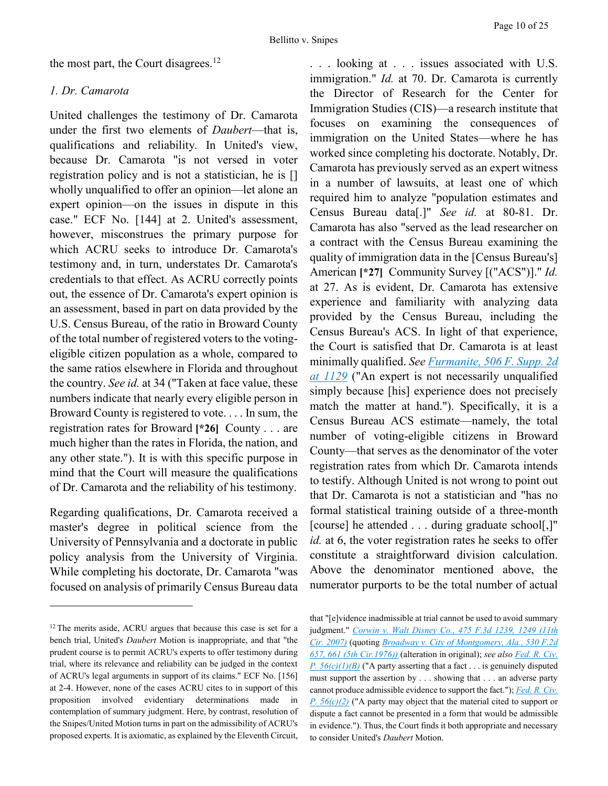the most part, the Court disagrees. $^{12}$ 

#### *1. Dr. Camarota*

United challenges the testimony of Dr. Camarota under the first two elements of *Daubert*—that is, qualifications and reliability. In United's view, because Dr. Camarota "is not versed in voter registration policy and is not a statistician, he is [] wholly unqualified to offer an opinion—let alone an expert opinion—on the issues in dispute in this case." ECF No. [144] at 2. United's assessment, however, misconstrues the primary purpose for which ACRU seeks to introduce Dr. Camarota's testimony and, in turn, understates Dr. Camarota's credentials to that effect. As ACRU correctly points out, the essence of Dr. Camarota's expert opinion is an assessment, based in part on data provided by the U.S. Census Bureau, of the ratio in Broward County of the total number of registered voters to the votingeligible citizen population as a whole, compared to the same ratios elsewhere in Florida and throughout the country. *See id.* at 34 ("Taken at face value, these numbers indicate that nearly every eligible person in Broward County is registered to vote. . . . In sum, the registration rates for Broward **[\*26]** County . . . are much higher than the rates in Florida, the nation, and any other state."). It is with this specific purpose in mind that the Court will measure the qualifications of Dr. Camarota and the reliability of his testimony.

Regarding qualifications, Dr. Camarota received a master's degree in political science from the University of Pennsylvania and a doctorate in public policy analysis from the University of Virginia. While completing his doctorate, Dr. Camarota "was focused on analysis of primarily Census Bureau data

 $\overline{a}$ 

. . . looking at . . . issues associated with U.S. immigration." *Id.* at 70. Dr. Camarota is currently the Director of Research for the Center for Immigration Studies (CIS)—a research institute that focuses on examining the consequences of immigration on the United States—where he has worked since completing his doctorate. Notably, Dr. Camarota has previously served as an expert witness in a number of lawsuits, at least one of which required him to analyze "population estimates and Census Bureau data[.]" *See id.* at 80-81. Dr. Camarota has also "served as the lead researcher on a contract with the Census Bureau examining the quality of immigration data in the [Census Bureau's] American **[\*27]** Community Survey [("ACS")]." *Id.* at 27. As is evident, Dr. Camarota has extensive experience and familiarity with analyzing data provided by the Census Bureau, including the Census Bureau's ACS. In light of that experience, the Court is satisfied that Dr. Camarota is at least minimally qualified. *See [Furmanite, 506 F. Supp. 2d](https://advance.lexis.com/api/document?collection=cases&id=urn:contentItem:4PW6-BSC0-TXFP-K2RS-00000-00&context=)  [at 1129](https://advance.lexis.com/api/document?collection=cases&id=urn:contentItem:4PW6-BSC0-TXFP-K2RS-00000-00&context=)* ("An expert is not necessarily unqualified simply because [his] experience does not precisely match the matter at hand."). Specifically, it is a Census Bureau ACS estimate—namely, the total number of voting-eligible citizens in Broward County—that serves as the denominator of the voter registration rates from which Dr. Camarota intends to testify. Although United is not wrong to point out that Dr. Camarota is not a statistician and "has no formal statistical training outside of a three-month [course] he attended . . . during graduate school[,]" *id.* at 6, the voter registration rates he seeks to offer constitute a straightforward division calculation. Above the denominator mentioned above, the numerator purports to be the total number of actual

<sup>&</sup>lt;sup>12</sup> The merits aside, ACRU argues that because this case is set for a bench trial, United's *Daubert* Motion is inappropriate, and that "the prudent course is to permit ACRU's experts to offer testimony during trial, where its relevance and reliability can be judged in the context of ACRU's legal arguments in support of its claims." ECF No. [156] at 2-4. However, none of the cases ACRU cites to in support of this proposition involved evidentiary determinations made in contemplation of summary judgment. Here, by contrast, resolution of the Snipes/United Motion turns in part on the admissibility of ACRU's proposed experts. It is axiomatic, as explained by the Eleventh Circuit,

that "[e]vidence inadmissible at trial cannot be used to avoid summary judgment." *[Corwin v. Walt Disney Co., 475 F.3d 1239,](https://advance.lexis.com/api/document?collection=cases&id=urn:contentItem:4MWB-N660-0038-X3G4-00000-00&context=) 1249 (11th [Cir. 2007\)](https://advance.lexis.com/api/document?collection=cases&id=urn:contentItem:4MWB-N660-0038-X3G4-00000-00&context=)* (quoting *[Broadway v. City of Montgomery, Ala., 530 F.2d](https://advance.lexis.com/api/document?collection=cases&id=urn:contentItem:3S4X-2240-0039-M550-00000-00&context=)  [657, 661 \(5th Cir.1976\)\)](https://advance.lexis.com/api/document?collection=cases&id=urn:contentItem:3S4X-2240-0039-M550-00000-00&context=)* (alteration in original); *see also [Fed. R. Civ.](https://advance.lexis.com/api/document?collection=statutes-legislation&id=urn:contentItem:5GYC-2421-6N19-F165-00000-00&context=)  [P. 56\(c\)\(1\)\(B\)](https://advance.lexis.com/api/document?collection=statutes-legislation&id=urn:contentItem:5GYC-2421-6N19-F165-00000-00&context=)* ("A party asserting that a fact . . . is genuinely disputed must support the assertion by . . . showing that . . . an adverse party cannot produce admissible evidence to support the fact."); *[Fed. R. Civ.](https://advance.lexis.com/api/document?collection=statutes-legislation&id=urn:contentItem:5GYC-2421-6N19-F165-00000-00&context=)  [P. 56\(c\)\(2\)](https://advance.lexis.com/api/document?collection=statutes-legislation&id=urn:contentItem:5GYC-2421-6N19-F165-00000-00&context=)* ("A party may object that the material cited to support or dispute a fact cannot be presented in a form that would be admissible in evidence."). Thus, the Court finds it both appropriate and necessary to consider United's *Daubert* Motion.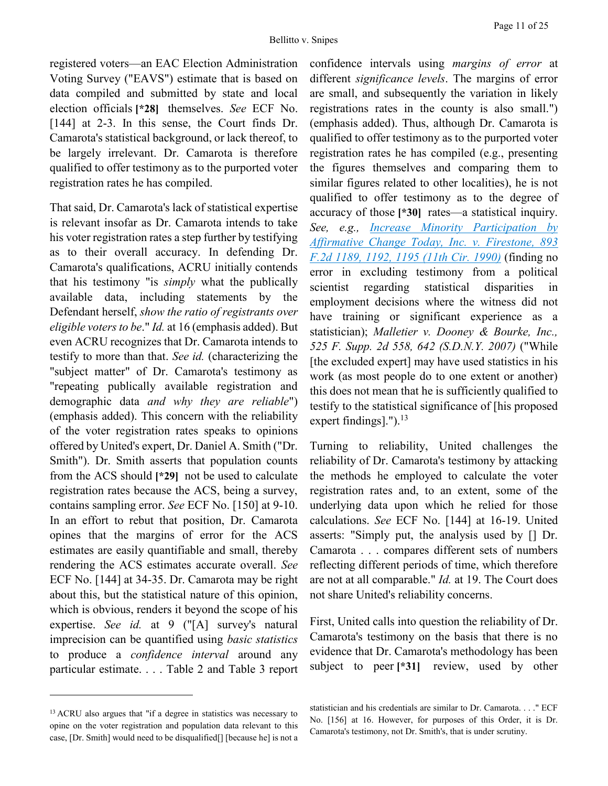registered voters—an EAC Election Administration Voting Survey ("EAVS") estimate that is based on data compiled and submitted by state and local election officials **[\*28]** themselves. *See* ECF No. [144] at 2-3. In this sense, the Court finds Dr. Camarota's statistical background, or lack thereof, to be largely irrelevant. Dr. Camarota is therefore qualified to offer testimony as to the purported voter registration rates he has compiled.

That said, Dr. Camarota's lack of statistical expertise is relevant insofar as Dr. Camarota intends to take his voter registration rates a step further by testifying as to their overall accuracy. In defending Dr. Camarota's qualifications, ACRU initially contends that his testimony "is *simply* what the publically available data, including statements by the Defendant herself, *show the ratio of registrants over eligible voters to be*." *Id.* at 16 (emphasis added). But even ACRU recognizes that Dr. Camarota intends to testify to more than that. *See id.* (characterizing the "subject matter" of Dr. Camarota's testimony as "repeating publically available registration and demographic data *and why they are reliable*") (emphasis added). This concern with the reliability of the voter registration rates speaks to opinions offered by United's expert, Dr. Daniel A. Smith ("Dr. Smith"). Dr. Smith asserts that population counts from the ACS should **[\*29]** not be used to calculate registration rates because the ACS, being a survey, contains sampling error. *See* ECF No. [150] at 9-10. In an effort to rebut that position, Dr. Camarota opines that the margins of error for the ACS estimates are easily quantifiable and small, thereby rendering the ACS estimates accurate overall. *See* ECF No. [144] at 34-35. Dr. Camarota may be right about this, but the statistical nature of this opinion, which is obvious, renders it beyond the scope of his expertise. *See id.* at 9 ("[A] survey's natural imprecision can be quantified using *basic statistics* to produce a *confidence interval* around any particular estimate. . . . Table 2 and Table 3 report

 $\overline{a}$ 

confidence intervals using *margins of error* at different *significance levels*. The margins of error are small, and subsequently the variation in likely registrations rates in the county is also small.") (emphasis added). Thus, although Dr. Camarota is qualified to offer testimony as to the purported voter registration rates he has compiled (e.g., presenting the figures themselves and comparing them to similar figures related to other localities), he is not qualified to offer testimony as to the degree of accuracy of those **[\*30]** rates—a statistical inquiry. *See, e.g., [Increase Minority Participation by](https://advance.lexis.com/api/document?collection=cases&id=urn:contentItem:3S4X-71D0-003B-52B0-00000-00&context=)  [Affirmative Change Today, Inc. v. Firestone, 893](https://advance.lexis.com/api/document?collection=cases&id=urn:contentItem:3S4X-71D0-003B-52B0-00000-00&context=)  [F.2d 1189, 1192, 1195 \(11th Cir. 1990\)](https://advance.lexis.com/api/document?collection=cases&id=urn:contentItem:3S4X-71D0-003B-52B0-00000-00&context=)* (finding no error in excluding testimony from a political scientist regarding statistical disparities in employment decisions where the witness did not have training or significant experience as a statistician); *Malletier v. Dooney & Bourke, Inc., 525 F. Supp. 2d 558, 642 (S.D.N.Y. 2007)* ("While [the excluded expert] may have used statistics in his work (as most people do to one extent or another) this does not mean that he is sufficiently qualified to testify to the statistical significance of [his proposed expert findings].").<sup>13</sup>

Turning to reliability, United challenges the reliability of Dr. Camarota's testimony by attacking the methods he employed to calculate the voter registration rates and, to an extent, some of the underlying data upon which he relied for those calculations. *See* ECF No. [144] at 16-19. United asserts: "Simply put, the analysis used by [] Dr. Camarota . . . compares different sets of numbers reflecting different periods of time, which therefore are not at all comparable." *Id.* at 19. The Court does not share United's reliability concerns.

First, United calls into question the reliability of Dr. Camarota's testimony on the basis that there is no evidence that Dr. Camarota's methodology has been subject to peer **[\*31]** review, used by other

<sup>&</sup>lt;sup>13</sup> ACRU also argues that "if a degree in statistics was necessary to opine on the voter registration and population data relevant to this case, [Dr. Smith] would need to be disqualified[] [because he] is not a

statistician and his credentials are similar to Dr. Camarota. . . ." ECF No. [156] at 16. However, for purposes of this Order, it is Dr. Camarota's testimony, not Dr. Smith's, that is under scrutiny.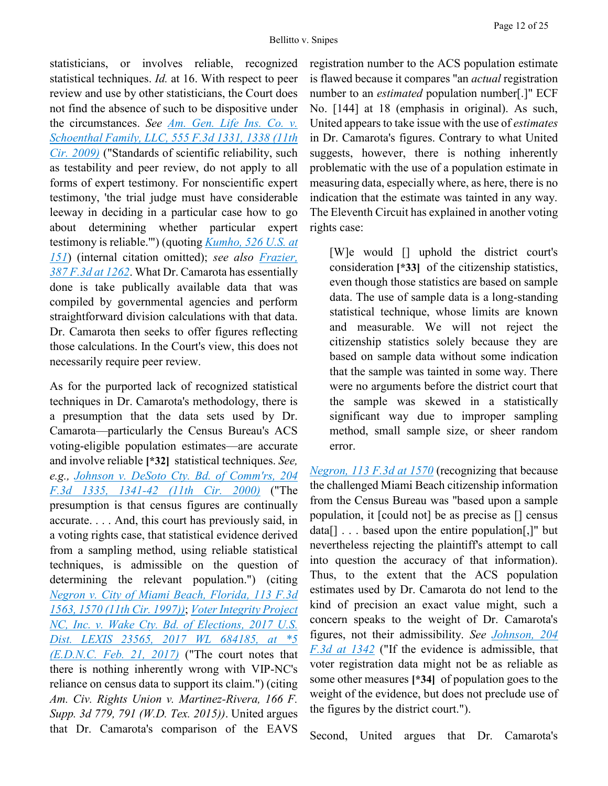statisticians, or involves reliable, recognized statistical techniques. *Id.* at 16. With respect to peer review and use by other statisticians, the Court does not find the absence of such to be dispositive under the circumstances. *See [Am. Gen. Life Ins. Co. v.](https://advance.lexis.com/api/document?collection=cases&id=urn:contentItem:4VJ9-BDJ0-TXFX-G2TV-00000-00&context=)  [Schoenthal Family, LLC, 555 F.3d 1331, 1338 \(11th](https://advance.lexis.com/api/document?collection=cases&id=urn:contentItem:4VJ9-BDJ0-TXFX-G2TV-00000-00&context=)  [Cir. 2009\)](https://advance.lexis.com/api/document?collection=cases&id=urn:contentItem:4VJ9-BDJ0-TXFX-G2TV-00000-00&context=)* ("Standards of scientific reliability, such as testability and peer review, do not apply to all forms of expert testimony. For nonscientific expert testimony, 'the trial judge must have considerable leeway in deciding in a particular case how to go about determining whether particular expert testimony is reliable.'") (quoting *[Kumho, 526 U.S. at](https://advance.lexis.com/api/document?collection=cases&id=urn:contentItem:3W30-2X60-004C-000J-00000-00&context=)  [151](https://advance.lexis.com/api/document?collection=cases&id=urn:contentItem:3W30-2X60-004C-000J-00000-00&context=)*) (internal citation omitted); *see also [Frazier,](https://advance.lexis.com/api/document?collection=cases&id=urn:contentItem:4DJR-0730-0038-X3P8-00000-00&context=)  [387 F.3d at 1262](https://advance.lexis.com/api/document?collection=cases&id=urn:contentItem:4DJR-0730-0038-X3P8-00000-00&context=)*. What Dr. Camarota has essentially done is take publically available data that was compiled by governmental agencies and perform straightforward division calculations with that data. Dr. Camarota then seeks to offer figures reflecting those calculations. In the Court's view, this does not necessarily require peer review.

As for the purported lack of recognized statistical techniques in Dr. Camarota's methodology, there is a presumption that the data sets used by Dr. Camarota—particularly the Census Bureau's ACS voting-eligible population estimates—are accurate and involve reliable **[\*32]** statistical techniques. *See, e.g., [Johnson v. DeSoto Cty. Bd. of Comm'rs, 204](https://advance.lexis.com/api/document?collection=cases&id=urn:contentItem:3YTP-2TJ0-0038-X0CB-00000-00&context=)  [F.3d 1335, 1341-42 \(11th Cir. 2000\)](https://advance.lexis.com/api/document?collection=cases&id=urn:contentItem:3YTP-2TJ0-0038-X0CB-00000-00&context=)* ("The presumption is that census figures are continually accurate. . . . And, this court has previously said, in a voting rights case, that statistical evidence derived from a sampling method, using reliable statistical techniques, is admissible on the question of determining the relevant population.") (citing *[Negron v. City of Miami Beach, Florida, 113 F.3d](https://advance.lexis.com/api/document?collection=cases&id=urn:contentItem:3S4X-G4D0-00B1-D4N6-00000-00&context=)  [1563, 1570 \(11th Cir. 1997\)\)](https://advance.lexis.com/api/document?collection=cases&id=urn:contentItem:3S4X-G4D0-00B1-D4N6-00000-00&context=)*; *[Voter Integrity Project](https://advance.lexis.com/api/document?collection=cases&id=urn:contentItem:5MXP-H101-F04D-R0HK-00000-00&context=)  [NC, Inc. v. Wake Cty. Bd. of Elections, 2017 U.S.](https://advance.lexis.com/api/document?collection=cases&id=urn:contentItem:5MXP-H101-F04D-R0HK-00000-00&context=)  [Dist. LEXIS 23565, 2017 WL 684185, at \\*5](https://advance.lexis.com/api/document?collection=cases&id=urn:contentItem:5MXP-H101-F04D-R0HK-00000-00&context=)  [\(E.D.N.C. Feb. 21, 2017\)](https://advance.lexis.com/api/document?collection=cases&id=urn:contentItem:5MXP-H101-F04D-R0HK-00000-00&context=)* ("The court notes that there is nothing inherently wrong with VIP-NC's reliance on census data to support its claim.") (citing *Am. Civ. Rights Union v. Martinez-Rivera, 166 F. Supp. 3d 779, 791 (W.D. Tex. 2015))*. United argues that Dr. Camarota's comparison of the EAVS

registration number to the ACS population estimate is flawed because it compares "an *actual* registration number to an *estimated* population number[.]" ECF No. [144] at 18 (emphasis in original). As such, United appears to take issue with the use of *estimates* in Dr. Camarota's figures. Contrary to what United suggests, however, there is nothing inherently problematic with the use of a population estimate in measuring data, especially where, as here, there is no indication that the estimate was tainted in any way. The Eleventh Circuit has explained in another voting rights case:

[W]e would [] uphold the district court's consideration **[\*33]** of the citizenship statistics, even though those statistics are based on sample data. The use of sample data is a long-standing statistical technique, whose limits are known and measurable. We will not reject the citizenship statistics solely because they are based on sample data without some indication that the sample was tainted in some way. There were no arguments before the district court that the sample was skewed in a statistically significant way due to improper sampling method, small sample size, or sheer random error.

*[Negron, 113 F.3d at 1570](https://advance.lexis.com/api/document?collection=cases&id=urn:contentItem:3S4X-G4D0-00B1-D4N6-00000-00&context=)* (recognizing that because the challenged Miami Beach citizenship information from the Census Bureau was "based upon a sample population, it [could not] be as precise as [] census data[] . . . based upon the entire population[,]" but nevertheless rejecting the plaintiff's attempt to call into question the accuracy of that information). Thus, to the extent that the ACS population estimates used by Dr. Camarota do not lend to the kind of precision an exact value might, such a concern speaks to the weight of Dr. Camarota's figures, not their admissibility. *See [Johnson, 204](https://advance.lexis.com/api/document?collection=cases&id=urn:contentItem:3YTP-2TJ0-0038-X0CB-00000-00&context=)  [F.3d at 1342](https://advance.lexis.com/api/document?collection=cases&id=urn:contentItem:3YTP-2TJ0-0038-X0CB-00000-00&context=)* ("If the evidence is admissible, that voter registration data might not be as reliable as some other measures **[\*34]** of population goes to the weight of the evidence, but does not preclude use of the figures by the district court.").

Second, United argues that Dr. Camarota's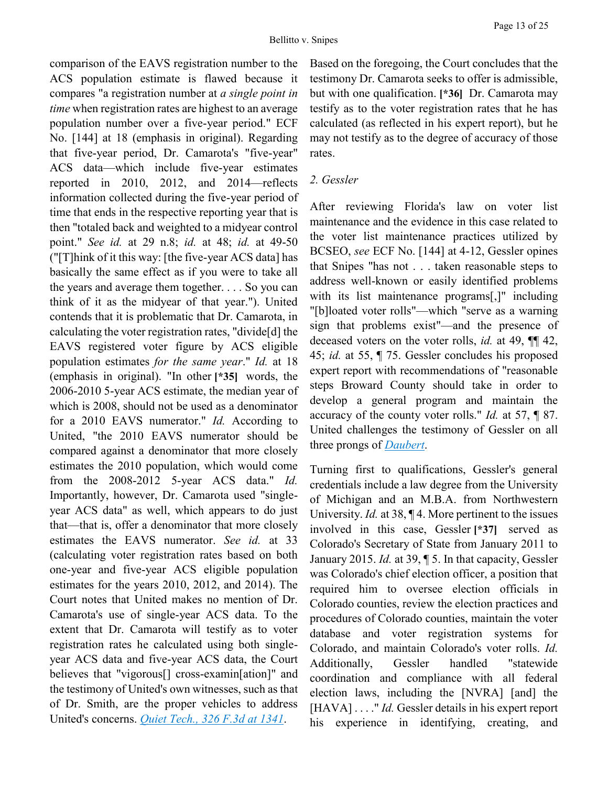comparison of the EAVS registration number to the ACS population estimate is flawed because it compares "a registration number at *a single point in time* when registration rates are highest to an average population number over a five-year period." ECF No. [144] at 18 (emphasis in original). Regarding that five-year period, Dr. Camarota's "five-year" ACS data—which include five-year estimates reported in 2010, 2012, and 2014—reflects information collected during the five-year period of time that ends in the respective reporting year that is then "totaled back and weighted to a midyear control point." *See id.* at 29 n.8; *id.* at 48; *id.* at 49-50 ("[T]hink of it this way: [the five-year ACS data] has basically the same effect as if you were to take all the years and average them together. . . . So you can think of it as the midyear of that year."). United contends that it is problematic that Dr. Camarota, in calculating the voter registration rates, "divide[d] the EAVS registered voter figure by ACS eligible population estimates *for the same year*." *Id.* at 18 (emphasis in original). "In other **[\*35]** words, the 2006-2010 5-year ACS estimate, the median year of which is 2008, should not be used as a denominator for a 2010 EAVS numerator." *Id.* According to United, "the 2010 EAVS numerator should be compared against a denominator that more closely estimates the 2010 population, which would come from the 2008-2012 5-year ACS data." *Id.* Importantly, however, Dr. Camarota used "singleyear ACS data" as well, which appears to do just that—that is, offer a denominator that more closely estimates the EAVS numerator. *See id.* at 33 (calculating voter registration rates based on both one-year and five-year ACS eligible population estimates for the years 2010, 2012, and 2014). The Court notes that United makes no mention of Dr. Camarota's use of single-year ACS data. To the extent that Dr. Camarota will testify as to voter registration rates he calculated using both singleyear ACS data and five-year ACS data, the Court believes that "vigorous[] cross-examin[ation]" and the testimony of United's own witnesses, such as that of Dr. Smith, are the proper vehicles to address United's concerns. *[Quiet Tech., 326 F.3d at 1341](https://advance.lexis.com/api/document?collection=cases&id=urn:contentItem:48BM-W8H0-0038-X0KS-00000-00&context=)*.

Based on the foregoing, the Court concludes that the testimony Dr. Camarota seeks to offer is admissible, but with one qualification. **[\*36]** Dr. Camarota may testify as to the voter registration rates that he has calculated (as reflected in his expert report), but he may not testify as to the degree of accuracy of those rates.

#### *2. Gessler*

After reviewing Florida's law on voter list maintenance and the evidence in this case related to the voter list maintenance practices utilized by BCSEO, *see* ECF No. [144] at 4-12, Gessler opines that Snipes "has not . . . taken reasonable steps to address well-known or easily identified problems with its list maintenance programs[,]" including "[b]loated voter rolls"—which "serve as a warning sign that problems exist"—and the presence of deceased voters on the voter rolls, *id.* at 49, ¶¶ 42, 45; *id.* at 55, ¶ 75. Gessler concludes his proposed expert report with recommendations of "reasonable steps Broward County should take in order to develop a general program and maintain the accuracy of the county voter rolls." *Id.* at 57, ¶ 87. United challenges the testimony of Gessler on all three prongs of *[Daubert](https://advance.lexis.com/api/document?collection=cases&id=urn:contentItem:3S4W-XDR0-003B-R3R6-00000-00&context=)*.

Turning first to qualifications, Gessler's general credentials include a law degree from the University of Michigan and an M.B.A. from Northwestern University. *Id.* at 38, ¶ 4. More pertinent to the issues involved in this case, Gessler **[\*37]** served as Colorado's Secretary of State from January 2011 to January 2015. *Id.* at 39, ¶ 5. In that capacity, Gessler was Colorado's chief election officer, a position that required him to oversee election officials in Colorado counties, review the election practices and procedures of Colorado counties, maintain the voter database and voter registration systems for Colorado, and maintain Colorado's voter rolls. *Id.* Additionally, Gessler handled "statewide coordination and compliance with all federal election laws, including the [NVRA] [and] the [HAVA] . . . . " *Id.* Gessler details in his expert report his experience in identifying, creating, and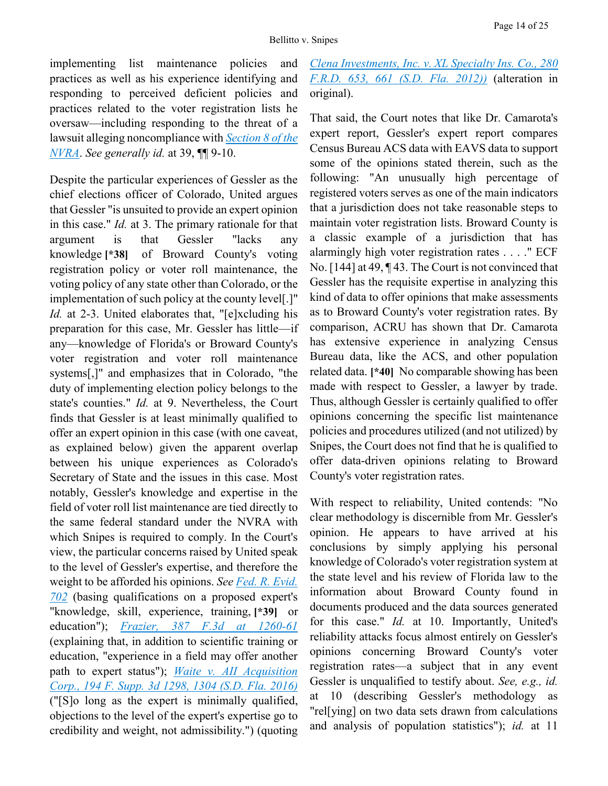implementing list maintenance policies and practices as well as his experience identifying and responding to perceived deficient policies and practices related to the voter registration lists he oversaw—including responding to the threat of a lawsuit alleging noncompliance with *[Section 8 of the](https://advance.lexis.com/api/document?collection=statutes-legislation&id=urn:contentItem:5D3N-F731-NRF4-4007-00000-00&context=)  [NVRA](https://advance.lexis.com/api/document?collection=statutes-legislation&id=urn:contentItem:5D3N-F731-NRF4-4007-00000-00&context=)*. *See generally id.* at 39, ¶¶ 9-10.

Despite the particular experiences of Gessler as the chief elections officer of Colorado, United argues that Gessler "is unsuited to provide an expert opinion in this case." *Id.* at 3. The primary rationale for that argument is that Gessler "lacks any knowledge **[\*38]** of Broward County's voting registration policy or voter roll maintenance, the voting policy of any state other than Colorado, or the implementation of such policy at the county level[.]" *Id.* at 2-3. United elaborates that, "[e]xcluding his preparation for this case, Mr. Gessler has little—if any—knowledge of Florida's or Broward County's voter registration and voter roll maintenance systems[,]" and emphasizes that in Colorado, "the duty of implementing election policy belongs to the state's counties." *Id.* at 9. Nevertheless, the Court finds that Gessler is at least minimally qualified to offer an expert opinion in this case (with one caveat, as explained below) given the apparent overlap between his unique experiences as Colorado's Secretary of State and the issues in this case. Most notably, Gessler's knowledge and expertise in the field of voter roll list maintenance are tied directly to the same federal standard under the NVRA with which Snipes is required to comply. In the Court's view, the particular concerns raised by United speak to the level of Gessler's expertise, and therefore the weight to be afforded his opinions. *See [Fed. R. Evid.](https://advance.lexis.com/api/document?collection=statutes-legislation&id=urn:contentItem:5GYC-2991-FG36-120S-00000-00&context=)  [702](https://advance.lexis.com/api/document?collection=statutes-legislation&id=urn:contentItem:5GYC-2991-FG36-120S-00000-00&context=)* (basing qualifications on a proposed expert's "knowledge, skill, experience, training, **[\*39]** or education"); *[Frazier, 387 F.3d at 1260-61](https://advance.lexis.com/api/document?collection=cases&id=urn:contentItem:4DJR-0730-0038-X3P8-00000-00&context=)* (explaining that, in addition to scientific training or education, "experience in a field may offer another path to expert status"); *[Waite v. AII Acquisition](https://advance.lexis.com/api/document?collection=cases&id=urn:contentItem:5KGB-NCT1-F04D-13R0-00000-00&context=)  [Corp., 194 F. Supp. 3d 1298, 1304 \(S.D. Fla. 2016\)](https://advance.lexis.com/api/document?collection=cases&id=urn:contentItem:5KGB-NCT1-F04D-13R0-00000-00&context=)* ("[S]o long as the expert is minimally qualified, objections to the level of the expert's expertise go to credibility and weight, not admissibility.") (quoting

# *[Clena Investments, Inc. v. XL Specialty Ins. Co., 280](https://advance.lexis.com/api/document?collection=cases&id=urn:contentItem:54VH-XF91-F04D-113C-00000-00&context=)  [F.R.D. 653, 661 \(S.D. Fla. 2012\)\)](https://advance.lexis.com/api/document?collection=cases&id=urn:contentItem:54VH-XF91-F04D-113C-00000-00&context=)* (alteration in original).

That said, the Court notes that like Dr. Camarota's expert report, Gessler's expert report compares Census Bureau ACS data with EAVS data to support some of the opinions stated therein, such as the following: "An unusually high percentage of registered voters serves as one of the main indicators that a jurisdiction does not take reasonable steps to maintain voter registration lists. Broward County is a classic example of a jurisdiction that has alarmingly high voter registration rates . . . ." ECF No. [144] at 49, ¶ 43. The Court is not convinced that Gessler has the requisite expertise in analyzing this kind of data to offer opinions that make assessments as to Broward County's voter registration rates. By comparison, ACRU has shown that Dr. Camarota has extensive experience in analyzing Census Bureau data, like the ACS, and other population related data. **[\*40]** No comparable showing has been made with respect to Gessler, a lawyer by trade. Thus, although Gessler is certainly qualified to offer opinions concerning the specific list maintenance policies and procedures utilized (and not utilized) by Snipes, the Court does not find that he is qualified to offer data-driven opinions relating to Broward County's voter registration rates.

With respect to reliability, United contends: "No clear methodology is discernible from Mr. Gessler's opinion. He appears to have arrived at his conclusions by simply applying his personal knowledge of Colorado's voter registration system at the state level and his review of Florida law to the information about Broward County found in documents produced and the data sources generated for this case." *Id.* at 10. Importantly, United's reliability attacks focus almost entirely on Gessler's opinions concerning Broward County's voter registration rates—a subject that in any event Gessler is unqualified to testify about. *See, e.g., id.* at 10 (describing Gessler's methodology as "rel[ying] on two data sets drawn from calculations and analysis of population statistics"); *id.* at 11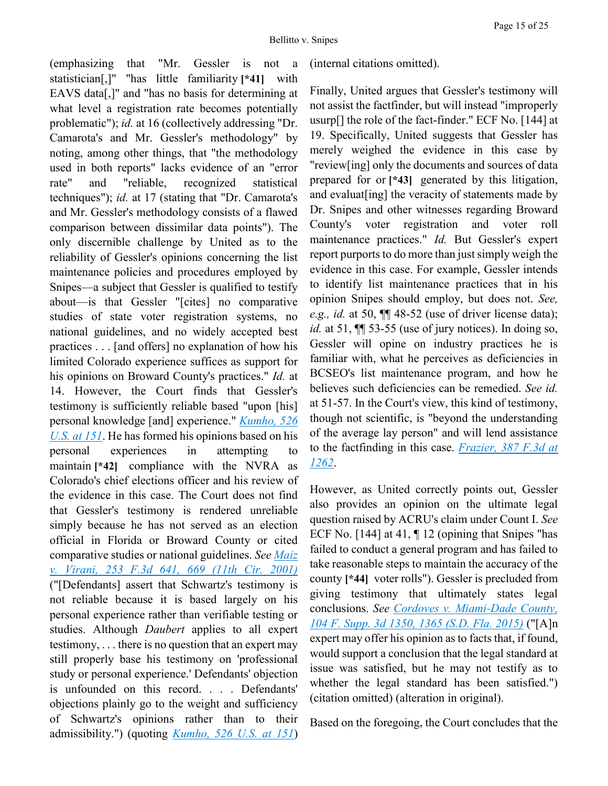(emphasizing that "Mr. Gessler is not a statistician[,]" "has little familiarity **[\*41]** with EAVS data[,]" and "has no basis for determining at what level a registration rate becomes potentially problematic"); *id.* at 16 (collectively addressing "Dr. Camarota's and Mr. Gessler's methodology" by noting, among other things, that "the methodology used in both reports" lacks evidence of an "error rate" and "reliable, recognized statistical techniques"); *id.* at 17 (stating that "Dr. Camarota's and Mr. Gessler's methodology consists of a flawed comparison between dissimilar data points"). The only discernible challenge by United as to the reliability of Gessler's opinions concerning the list maintenance policies and procedures employed by Snipes—a subject that Gessler is qualified to testify about—is that Gessler "[cites] no comparative studies of state voter registration systems, no national guidelines, and no widely accepted best practices . . . [and offers] no explanation of how his limited Colorado experience suffices as support for his opinions on Broward County's practices." *Id.* at 14. However, the Court finds that Gessler's testimony is sufficiently reliable based "upon [his] personal knowledge [and] experience." *[Kumho, 526](https://advance.lexis.com/api/document?collection=cases&id=urn:contentItem:3W30-2X60-004C-000J-00000-00&context=)  [U.S. at 151](https://advance.lexis.com/api/document?collection=cases&id=urn:contentItem:3W30-2X60-004C-000J-00000-00&context=)*. He has formed his opinions based on his personal experiences in attempting to maintain **[\*42]** compliance with the NVRA as Colorado's chief elections officer and his review of the evidence in this case. The Court does not find that Gessler's testimony is rendered unreliable simply because he has not served as an election official in Florida or Broward County or cited comparative studies or national guidelines. *See [Maiz](https://advance.lexis.com/api/document?collection=cases&id=urn:contentItem:437H-H490-0038-X1MT-00000-00&context=)  [v. Virani, 253 F.3d 641, 669 \(11th Cir. 2001\)](https://advance.lexis.com/api/document?collection=cases&id=urn:contentItem:437H-H490-0038-X1MT-00000-00&context=)* ("[Defendants] assert that Schwartz's testimony is not reliable because it is based largely on his personal experience rather than verifiable testing or studies. Although *Daubert* applies to all expert testimony, . . . there is no question that an expert may still properly base his testimony on 'professional study or personal experience.' Defendants' objection is unfounded on this record. . . . Defendants' objections plainly go to the weight and sufficiency of Schwartz's opinions rather than to their admissibility.") (quoting *[Kumho, 526 U.S. at 151](https://advance.lexis.com/api/document?collection=cases&id=urn:contentItem:3W30-2X60-004C-000J-00000-00&context=)*)

(internal citations omitted).

Finally, United argues that Gessler's testimony will not assist the factfinder, but will instead "improperly usurp[] the role of the fact-finder." ECF No. [144] at 19. Specifically, United suggests that Gessler has merely weighed the evidence in this case by "review[ing] only the documents and sources of data prepared for or **[\*43]** generated by this litigation, and evaluat[ing] the veracity of statements made by Dr. Snipes and other witnesses regarding Broward County's voter registration and voter roll maintenance practices." *Id.* But Gessler's expert report purports to do more than just simply weigh the evidence in this case. For example, Gessler intends to identify list maintenance practices that in his opinion Snipes should employ, but does not. *See, e.g., id.* at 50, ¶¶ 48-52 (use of driver license data); *id.* at 51,  $\mathbb{I}$  53-55 (use of jury notices). In doing so, Gessler will opine on industry practices he is familiar with, what he perceives as deficiencies in BCSEO's list maintenance program, and how he believes such deficiencies can be remedied. *See id.* at 51-57. In the Court's view, this kind of testimony, though not scientific, is "beyond the understanding of the average lay person" and will lend assistance to the factfinding in this case. *[Frazier, 387 F.3d at](https://advance.lexis.com/api/document?collection=cases&id=urn:contentItem:4DJR-0730-0038-X3P8-00000-00&context=)  [1262](https://advance.lexis.com/api/document?collection=cases&id=urn:contentItem:4DJR-0730-0038-X3P8-00000-00&context=)*.

However, as United correctly points out, Gessler also provides an opinion on the ultimate legal question raised by ACRU's claim under Count I. *See* ECF No. [144] at 41, ¶ 12 (opining that Snipes "has failed to conduct a general program and has failed to take reasonable steps to maintain the accuracy of the county **[\*44]** voter rolls"). Gessler is precluded from giving testimony that ultimately states legal conclusions. *See [Cordoves v. Miami-Dade County,](https://advance.lexis.com/api/document?collection=cases&id=urn:contentItem:5G09-H5B1-F04D-12H6-00000-00&context=)  [104 F. Supp. 3d 1350, 1365 \(S.D. Fla. 2015\)](https://advance.lexis.com/api/document?collection=cases&id=urn:contentItem:5G09-H5B1-F04D-12H6-00000-00&context=)* ("[A]n expert may offer his opinion as to facts that, if found, would support a conclusion that the legal standard at issue was satisfied, but he may not testify as to whether the legal standard has been satisfied.") (citation omitted) (alteration in original).

Based on the foregoing, the Court concludes that the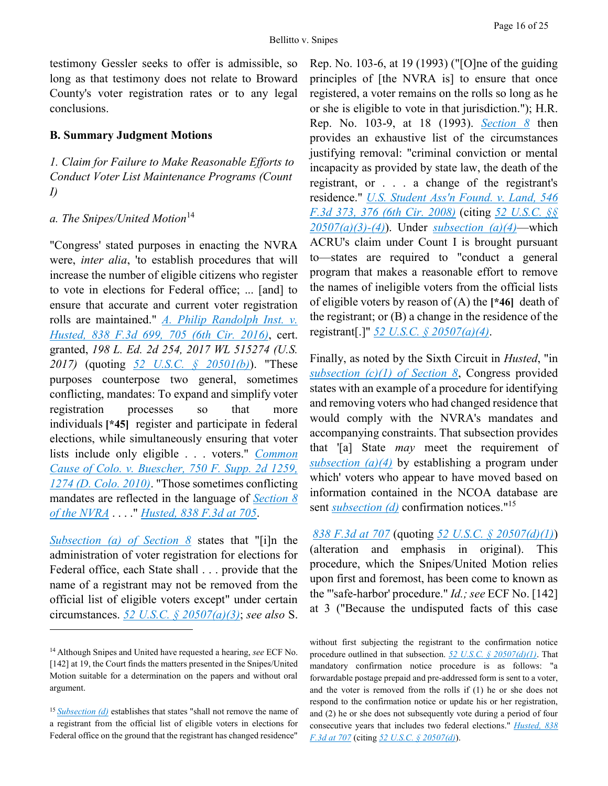testimony Gessler seeks to offer is admissible, so long as that testimony does not relate to Broward County's voter registration rates or to any legal conclusions.

#### **B. Summary Judgment Motions**

*1. Claim for Failure to Make Reasonable Efforts to Conduct Voter List Maintenance Programs (Count I)*

#### *a. The Snipes/United Motion*<sup>14</sup>

"Congress' stated purposes in enacting the NVRA were, *inter alia*, 'to establish procedures that will increase the number of eligible citizens who register to vote in elections for Federal office; ... [and] to ensure that accurate and current voter registration rolls are maintained." *[A. Philip Randolph Inst. v.](https://advance.lexis.com/api/document?collection=cases&id=urn:contentItem:5KSG-DG81-F04K-P1C2-00000-00&context=)  [Husted, 838 F.3d 699, 705 \(6th Cir. 2016\)](https://advance.lexis.com/api/document?collection=cases&id=urn:contentItem:5KSG-DG81-F04K-P1C2-00000-00&context=)*, cert. granted, *198 L. Ed. 2d 254, 2017 WL 515274 (U.S. 2017)* (quoting *[52 U.S.C. § 20501\(b\)](https://advance.lexis.com/api/document?collection=statutes-legislation&id=urn:contentItem:5D3N-F721-NRF4-4001-00000-00&context=)*). "These purposes counterpose two general, sometimes conflicting, mandates: To expand and simplify voter registration processes so that more individuals **[\*45]** register and participate in federal elections, while simultaneously ensuring that voter lists include only eligible . . . voters." *[Common](https://advance.lexis.com/api/document?collection=cases&id=urn:contentItem:51H0-25P1-652H-8007-00000-00&context=)  [Cause of Colo. v. Buescher, 750 F. Supp. 2d 1259,](https://advance.lexis.com/api/document?collection=cases&id=urn:contentItem:51H0-25P1-652H-8007-00000-00&context=)  [1274 \(D. Colo. 2010\)](https://advance.lexis.com/api/document?collection=cases&id=urn:contentItem:51H0-25P1-652H-8007-00000-00&context=)*. "Those sometimes conflicting mandates are reflected in the language of *[Section 8](https://advance.lexis.com/api/document?collection=statutes-legislation&id=urn:contentItem:5D3N-F731-NRF4-4007-00000-00&context=)  [of the NVRA](https://advance.lexis.com/api/document?collection=statutes-legislation&id=urn:contentItem:5D3N-F731-NRF4-4007-00000-00&context=)* . . . ." *[Husted, 838 F.3d at 705](https://advance.lexis.com/api/document?collection=cases&id=urn:contentItem:5KSG-DG81-F04K-P1C2-00000-00&context=)*.

*[Subsection \(a\) of Section 8](https://advance.lexis.com/api/document?collection=statutes-legislation&id=urn:contentItem:5D3N-F731-NRF4-4007-00000-00&context=)* states that "[i]n the administration of voter registration for elections for Federal office, each State shall . . . provide that the name of a registrant may not be removed from the official list of eligible voters except" under certain circumstances. *[52 U.S.C. § 20507\(a\)\(3\)](https://advance.lexis.com/api/document?collection=statutes-legislation&id=urn:contentItem:5D3N-F731-NRF4-4007-00000-00&context=)*; *see also* S.

 $\overline{a}$ 

Rep. No. 103-6, at 19 (1993) ("[O]ne of the guiding principles of [the NVRA is] to ensure that once registered, a voter remains on the rolls so long as he or she is eligible to vote in that jurisdiction."); H.R. Rep. No. 103-9, at 18 (1993). *[Section 8](https://advance.lexis.com/api/document?collection=statutes-legislation&id=urn:contentItem:5D3N-F731-NRF4-4007-00000-00&context=)* then provides an exhaustive list of the circumstances justifying removal: "criminal conviction or mental incapacity as provided by state law, the death of the registrant, or . . . a change of the registrant's residence." *[U.S. Student Ass'n Found. v. Land, 546](https://advance.lexis.com/api/document?collection=cases&id=urn:contentItem:4V70-WR20-TXFX-82RC-00000-00&context=)  [F.3d 373, 376 \(6th Cir. 2008\)](https://advance.lexis.com/api/document?collection=cases&id=urn:contentItem:4V70-WR20-TXFX-82RC-00000-00&context=)* (citing *[52 U.S.C. §§](https://advance.lexis.com/api/document?collection=statutes-legislation&id=urn:contentItem:5D3N-F731-NRF4-4007-00000-00&context=)  [20507\(a\)\(3\)-\(4\)](https://advance.lexis.com/api/document?collection=statutes-legislation&id=urn:contentItem:5D3N-F731-NRF4-4007-00000-00&context=)*). Under *[subsection \(a\)\(4\)](https://advance.lexis.com/api/document?collection=statutes-legislation&id=urn:contentItem:5D3N-F731-NRF4-4007-00000-00&context=)*—which ACRU's claim under Count I is brought pursuant to—states are required to "conduct a general program that makes a reasonable effort to remove the names of ineligible voters from the official lists of eligible voters by reason of (A) the **[\*46]** death of the registrant; or (B) a change in the residence of the registrant[.]" *[52 U.S.C. § 20507\(a\)\(4\)](https://advance.lexis.com/api/document?collection=statutes-legislation&id=urn:contentItem:5D3N-F731-NRF4-4007-00000-00&context=)*.

Finally, as noted by the Sixth Circuit in *Husted*, "in *[subsection \(c\)\(1\) of Section 8](https://advance.lexis.com/api/document?collection=statutes-legislation&id=urn:contentItem:5D3N-F731-NRF4-4007-00000-00&context=)*, Congress provided states with an example of a procedure for identifying and removing voters who had changed residence that would comply with the NVRA's mandates and accompanying constraints. That subsection provides that '[a] State *may* meet the requirement of *[subsection \(a\)\(4\)](https://advance.lexis.com/api/document?collection=statutes-legislation&id=urn:contentItem:5D3N-F731-NRF4-4007-00000-00&context=)* by establishing a program under which' voters who appear to have moved based on information contained in the NCOA database are sent *[subsection \(d\)](https://advance.lexis.com/api/document?collection=statutes-legislation&id=urn:contentItem:5D3N-F731-NRF4-4007-00000-00&context=)* confirmation notices."<sup>15</sup>

*[838 F.3d at 707](https://advance.lexis.com/api/document?collection=cases&id=urn:contentItem:5KSG-DG81-F04K-P1C2-00000-00&context=)* (quoting *[52 U.S.C. § 20507\(d\)\(1\)](https://advance.lexis.com/api/document?collection=statutes-legislation&id=urn:contentItem:5D3N-F731-NRF4-4007-00000-00&context=)*) (alteration and emphasis in original). This procedure, which the Snipes/United Motion relies upon first and foremost, has been come to known as the "'safe-harbor' procedure." *Id.; see* ECF No. [142] at 3 ("Because the undisputed facts of this case

without first subjecting the registrant to the confirmation notice procedure outlined in that subsection. *[52 U.S.C. § 20507\(d\)\(1\)](https://advance.lexis.com/api/document?collection=statutes-legislation&id=urn:contentItem:5D3N-F731-NRF4-4007-00000-00&context=)*. That mandatory confirmation notice procedure is as follows: "a forwardable postage prepaid and pre-addressed form is sent to a voter, and the voter is removed from the rolls if (1) he or she does not respond to the confirmation notice or update his or her registration, and (2) he or she does not subsequently vote during a period of four consecutive years that includes two federal elections." *[Husted, 838](https://advance.lexis.com/api/document?collection=cases&id=urn:contentItem:5KSG-DG81-F04K-P1C2-00000-00&context=)  [F.3d at 707](https://advance.lexis.com/api/document?collection=cases&id=urn:contentItem:5KSG-DG81-F04K-P1C2-00000-00&context=)* (citing *[52 U.S.C. § 20507\(d\)](https://advance.lexis.com/api/document?collection=statutes-legislation&id=urn:contentItem:5D3N-F731-NRF4-4007-00000-00&context=)*).

<sup>14</sup> Although Snipes and United have requested a hearing, *see* ECF No. [142] at 19, the Court finds the matters presented in the Snipes/United Motion suitable for a determination on the papers and without oral argument.

<sup>&</sup>lt;sup>15</sup> *[Subsection \(d\)](https://advance.lexis.com/api/document?collection=statutes-legislation&id=urn:contentItem:5D3N-F731-NRF4-4007-00000-00&context=)* establishes that states "shall not remove the name of a registrant from the official list of eligible voters in elections for Federal office on the ground that the registrant has changed residence"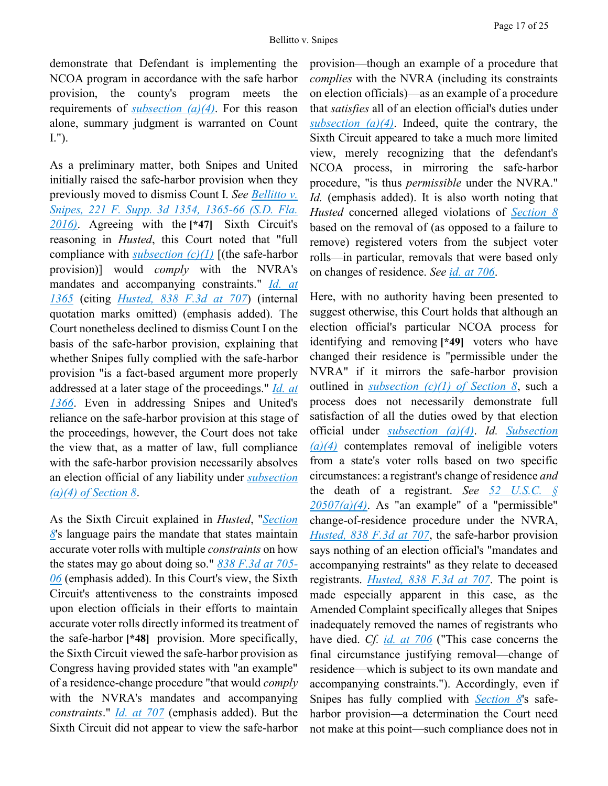demonstrate that Defendant is implementing the NCOA program in accordance with the safe harbor provision, the county's program meets the requirements of *[subsection \(a\)\(4\)](https://advance.lexis.com/api/document?collection=statutes-legislation&id=urn:contentItem:5D3N-F731-NRF4-4007-00000-00&context=)*. For this reason alone, summary judgment is warranted on Count I.").

As a preliminary matter, both Snipes and United initially raised the safe-harbor provision when they previously moved to dismiss Count I. *See [Bellitto v.](https://advance.lexis.com/api/document?collection=cases&id=urn:contentItem:5M1N-0M41-F04D-10NR-00000-00&context=)  [Snipes, 221 F. Supp. 3d 1354, 1365-66 \(S.D. Fla.](https://advance.lexis.com/api/document?collection=cases&id=urn:contentItem:5M1N-0M41-F04D-10NR-00000-00&context=)  [2016\)](https://advance.lexis.com/api/document?collection=cases&id=urn:contentItem:5M1N-0M41-F04D-10NR-00000-00&context=)*. Agreeing with the **[\*47]** Sixth Circuit's reasoning in *Husted*, this Court noted that "full compliance with *[subsection \(c\)\(1\)](https://advance.lexis.com/api/document?collection=statutes-legislation&id=urn:contentItem:5D3N-F731-NRF4-4007-00000-00&context=)* [(the safe-harbor provision)] would *comply* with the NVRA's mandates and accompanying constraints." *[Id.](https://advance.lexis.com/api/document?collection=cases&id=urn:contentItem:5M1N-0M41-F04D-10NR-00000-00&context=) [at](https://advance.lexis.com/api/document?collection=cases&id=urn:contentItem:5M1N-0M41-F04D-10NR-00000-00&context=)  [1365](https://advance.lexis.com/api/document?collection=cases&id=urn:contentItem:5M1N-0M41-F04D-10NR-00000-00&context=)* (citing *[Husted, 838 F.3d at 707](https://advance.lexis.com/api/document?collection=cases&id=urn:contentItem:5KSG-DG81-F04K-P1C2-00000-00&context=)*) (internal quotation marks omitted) (emphasis added). The Court nonetheless declined to dismiss Count I on the basis of the safe-harbor provision, explaining that whether Snipes fully complied with the safe-harbor provision "is a fact-based argument more properly addressed at a later stage of the proceedings." *[Id.](https://advance.lexis.com/api/document?collection=cases&id=urn:contentItem:5M1N-0M41-F04D-10NR-00000-00&context=) [at](https://advance.lexis.com/api/document?collection=cases&id=urn:contentItem:5M1N-0M41-F04D-10NR-00000-00&context=)  [1366](https://advance.lexis.com/api/document?collection=cases&id=urn:contentItem:5M1N-0M41-F04D-10NR-00000-00&context=)*. Even in addressing Snipes and United's reliance on the safe-harbor provision at this stage of the proceedings, however, the Court does not take the view that, as a matter of law, full compliance with the safe-harbor provision necessarily absolves an election official of any liability under *[subsection](https://advance.lexis.com/api/document?collection=statutes-legislation&id=urn:contentItem:5D3N-F731-NRF4-4007-00000-00&context=)  [\(a\)\(4\) of Section 8](https://advance.lexis.com/api/document?collection=statutes-legislation&id=urn:contentItem:5D3N-F731-NRF4-4007-00000-00&context=)*.

As the Sixth Circuit explained in *Husted*, "*[Section](https://advance.lexis.com/api/document?collection=statutes-legislation&id=urn:contentItem:5D3N-F731-NRF4-4007-00000-00&context=)  [8](https://advance.lexis.com/api/document?collection=statutes-legislation&id=urn:contentItem:5D3N-F731-NRF4-4007-00000-00&context=)*'s language pairs the mandate that states maintain accurate voter rolls with multiple *constraints* on how the states may go about doing so." *[838 F.3d at 705-](https://advance.lexis.com/api/document?collection=cases&id=urn:contentItem:5KSG-DG81-F04K-P1C2-00000-00&context=) [06](https://advance.lexis.com/api/document?collection=cases&id=urn:contentItem:5KSG-DG81-F04K-P1C2-00000-00&context=)* (emphasis added). In this Court's view, the Sixth Circuit's attentiveness to the constraints imposed upon election officials in their efforts to maintain accurate voter rolls directly informed its treatment of the safe-harbor **[\*48]** provision. More specifically, the Sixth Circuit viewed the safe-harbor provision as Congress having provided states with "an example" of a residence-change procedure "that would *comply* with the NVRA's mandates and accompanying *constraints*." *[Id.](https://advance.lexis.com/api/document?collection=cases&id=urn:contentItem:5KSG-DG81-F04K-P1C2-00000-00&context=) [at 707](https://advance.lexis.com/api/document?collection=cases&id=urn:contentItem:5KSG-DG81-F04K-P1C2-00000-00&context=)* (emphasis added). But the Sixth Circuit did not appear to view the safe-harbor

provision—though an example of a procedure that *complies* with the NVRA (including its constraints on election officials)—as an example of a procedure that *satisfies* all of an election official's duties under *[subsection \(a\)\(4\)](https://advance.lexis.com/api/document?collection=statutes-legislation&id=urn:contentItem:5D3N-F731-NRF4-4007-00000-00&context=)*. Indeed, quite the contrary, the Sixth Circuit appeared to take a much more limited view, merely recognizing that the defendant's NCOA process, in mirroring the safe-harbor procedure, "is thus *permissible* under the NVRA." *Id.* (emphasis added). It is also worth noting that *Husted* concerned alleged violations of *[Section 8](https://advance.lexis.com/api/document?collection=statutes-legislation&id=urn:contentItem:5D3N-F731-NRF4-4007-00000-00&context=)* based on the removal of (as opposed to a failure to remove) registered voters from the subject voter rolls—in particular, removals that were based only on changes of residence. *See [id.](https://advance.lexis.com/api/document?collection=cases&id=urn:contentItem:5KSG-DG81-F04K-P1C2-00000-00&context=) [at 706](https://advance.lexis.com/api/document?collection=cases&id=urn:contentItem:5KSG-DG81-F04K-P1C2-00000-00&context=)*.

Here, with no authority having been presented to suggest otherwise, this Court holds that although an election official's particular NCOA process for identifying and removing **[\*49]** voters who have changed their residence is "permissible under the NVRA" if it mirrors the safe-harbor provision outlined in *[subsection \(c\)\(1\) of Section 8](https://advance.lexis.com/api/document?collection=statutes-legislation&id=urn:contentItem:5D3N-F731-NRF4-4007-00000-00&context=)*, such a process does not necessarily demonstrate full satisfaction of all the duties owed by that election official under *[subsection \(a\)\(4\)](https://advance.lexis.com/api/document?collection=statutes-legislation&id=urn:contentItem:5D3N-F731-NRF4-4007-00000-00&context=)*. *Id. [Subsection](https://advance.lexis.com/api/document?collection=statutes-legislation&id=urn:contentItem:5D3N-F731-NRF4-4007-00000-00&context=)  [\(a\)\(4\)](https://advance.lexis.com/api/document?collection=statutes-legislation&id=urn:contentItem:5D3N-F731-NRF4-4007-00000-00&context=)* contemplates removal of ineligible voters from a state's voter rolls based on two specific circumstances: a registrant's change of residence *and* the death of a registrant. *See [52 U.S.C. §](https://advance.lexis.com/api/document?collection=statutes-legislation&id=urn:contentItem:5D3N-F731-NRF4-4007-00000-00&context=)*   $20507(a)(4)$ . As "an example" of a "permissible" change-of-residence procedure under the NVRA, *[Husted, 838 F.3d at 707](https://advance.lexis.com/api/document?collection=cases&id=urn:contentItem:5KSG-DG81-F04K-P1C2-00000-00&context=)*, the safe-harbor provision says nothing of an election official's "mandates and accompanying restraints" as they relate to deceased registrants. *[Husted, 838 F.3d at 707](https://advance.lexis.com/api/document?collection=cases&id=urn:contentItem:5KSG-DG81-F04K-P1C2-00000-00&context=)*. The point is made especially apparent in this case, as the Amended Complaint specifically alleges that Snipes inadequately removed the names of registrants who have died. *Cf. [id.](https://advance.lexis.com/api/document?collection=cases&id=urn:contentItem:5KSG-DG81-F04K-P1C2-00000-00&context=) [at 706](https://advance.lexis.com/api/document?collection=cases&id=urn:contentItem:5KSG-DG81-F04K-P1C2-00000-00&context=)* ("This case concerns the final circumstance justifying removal—change of residence—which is subject to its own mandate and accompanying constraints."). Accordingly, even if Snipes has fully complied with *[Section 8](https://advance.lexis.com/api/document?collection=statutes-legislation&id=urn:contentItem:5D3N-F731-NRF4-4007-00000-00&context=)*'s safeharbor provision—a determination the Court need not make at this point—such compliance does not in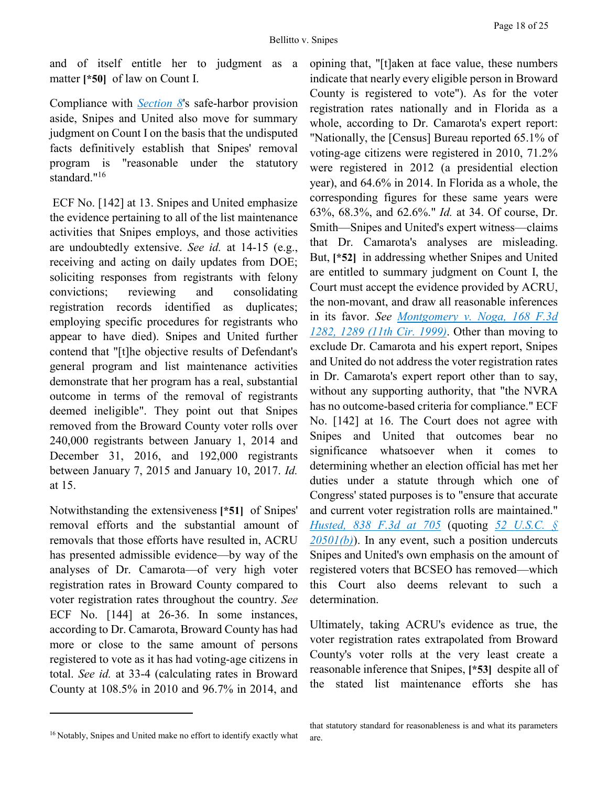and of itself entitle her to judgment as a matter **[\*50]** of law on Count I.

Compliance with *[Section 8](https://advance.lexis.com/api/document?collection=statutes-legislation&id=urn:contentItem:5D3N-F731-NRF4-4007-00000-00&context=)*'s safe-harbor provision aside, Snipes and United also move for summary judgment on Count I on the basis that the undisputed facts definitively establish that Snipes' removal program is "reasonable under the statutory standard."<sup>16</sup>

ECF No. [142] at 13. Snipes and United emphasize the evidence pertaining to all of the list maintenance activities that Snipes employs, and those activities are undoubtedly extensive. *See id.* at 14-15 (e.g., receiving and acting on daily updates from DOE; soliciting responses from registrants with felony convictions; reviewing and consolidating registration records identified as duplicates; employing specific procedures for registrants who appear to have died). Snipes and United further contend that "[t]he objective results of Defendant's general program and list maintenance activities demonstrate that her program has a real, substantial outcome in terms of the removal of registrants deemed ineligible". They point out that Snipes removed from the Broward County voter rolls over 240,000 registrants between January 1, 2014 and December 31, 2016, and 192,000 registrants between January 7, 2015 and January 10, 2017. *Id.* at 15.

Notwithstanding the extensiveness **[\*51]** of Snipes' removal efforts and the substantial amount of removals that those efforts have resulted in, ACRU has presented admissible evidence—by way of the analyses of Dr. Camarota—of very high voter registration rates in Broward County compared to voter registration rates throughout the country. *See* ECF No. [144] at 26-36. In some instances, according to Dr. Camarota, Broward County has had more or close to the same amount of persons registered to vote as it has had voting-age citizens in total. *See id.* at 33-4 (calculating rates in Broward County at 108.5% in 2010 and 96.7% in 2014, and

opining that, "[t]aken at face value, these numbers indicate that nearly every eligible person in Broward County is registered to vote"). As for the voter registration rates nationally and in Florida as a whole, according to Dr. Camarota's expert report: "Nationally, the [Census] Bureau reported 65.1% of voting-age citizens were registered in 2010, 71.2% were registered in 2012 (a presidential election year), and 64.6% in 2014. In Florida as a whole, the corresponding figures for these same years were 63%, 68.3%, and 62.6%." *Id.* at 34. Of course, Dr. Smith—Snipes and United's expert witness—claims that Dr. Camarota's analyses are misleading. But, **[\*52]** in addressing whether Snipes and United are entitled to summary judgment on Count I, the Court must accept the evidence provided by ACRU, the non-movant, and draw all reasonable inferences in its favor. *See [Montgomery v. Noga, 168 F.3d](https://advance.lexis.com/api/document?collection=cases&id=urn:contentItem:3W5S-RXM0-0038-X313-00000-00&context=)  [1282, 1289 \(11th Cir. 1999\)](https://advance.lexis.com/api/document?collection=cases&id=urn:contentItem:3W5S-RXM0-0038-X313-00000-00&context=)*. Other than moving to exclude Dr. Camarota and his expert report, Snipes and United do not address the voter registration rates in Dr. Camarota's expert report other than to say, without any supporting authority, that "the NVRA has no outcome-based criteria for compliance." ECF No. [142] at 16. The Court does not agree with Snipes and United that outcomes bear no significance whatsoever when it comes to determining whether an election official has met her duties under a statute through which one of Congress' stated purposes is to "ensure that accurate and current voter registration rolls are maintained." *[Husted, 838 F.3d at 705](https://advance.lexis.com/api/document?collection=cases&id=urn:contentItem:5KSG-DG81-F04K-P1C2-00000-00&context=)* (quoting *[52 U.S.C. §](https://advance.lexis.com/api/document?collection=statutes-legislation&id=urn:contentItem:5D3N-F721-NRF4-4001-00000-00&context=)  [20501\(b\)](https://advance.lexis.com/api/document?collection=statutes-legislation&id=urn:contentItem:5D3N-F721-NRF4-4001-00000-00&context=)*). In any event, such a position undercuts Snipes and United's own emphasis on the amount of registered voters that BCSEO has removed—which this Court also deems relevant to such a determination.

Ultimately, taking ACRU's evidence as true, the voter registration rates extrapolated from Broward County's voter rolls at the very least create a reasonable inference that Snipes, **[\*53]** despite all of the stated list maintenance efforts she has

 $\overline{a}$ 

<sup>16</sup> Notably, Snipes and United make no effort to identify exactly what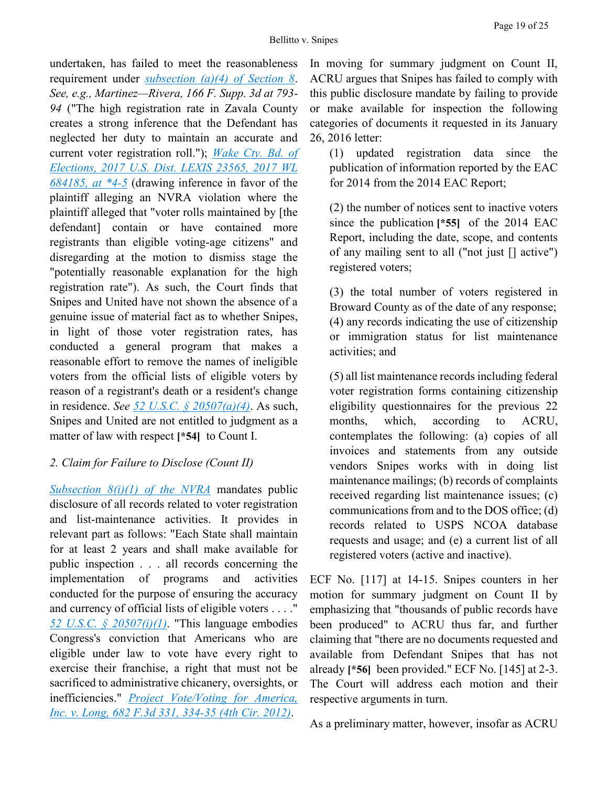undertaken, has failed to meet the reasonableness requirement under *[subsection \(a\)\(4\) of Section 8](https://advance.lexis.com/api/document?collection=statutes-legislation&id=urn:contentItem:5D3N-F731-NRF4-4007-00000-00&context=)*. *See, e.g., Martinez—Rivera, 166 F. Supp. 3d at 793- 94* ("The high registration rate in Zavala County creates a strong inference that the Defendant has neglected her duty to maintain an accurate and current voter registration roll."); *[Wake Cty. Bd. of](https://advance.lexis.com/api/document?collection=cases&id=urn:contentItem:5MXP-H101-F04D-R0HK-00000-00&context=)  [Elections, 2017 U.S. Dist. LEXIS 23565, 2017 WL](https://advance.lexis.com/api/document?collection=cases&id=urn:contentItem:5MXP-H101-F04D-R0HK-00000-00&context=)  [684185, at \\*4-5](https://advance.lexis.com/api/document?collection=cases&id=urn:contentItem:5MXP-H101-F04D-R0HK-00000-00&context=)* (drawing inference in favor of the plaintiff alleging an NVRA violation where the plaintiff alleged that "voter rolls maintained by [the defendant] contain or have contained more registrants than eligible voting-age citizens" and disregarding at the motion to dismiss stage the "potentially reasonable explanation for the high registration rate"). As such, the Court finds that Snipes and United have not shown the absence of a genuine issue of material fact as to whether Snipes, in light of those voter registration rates, has conducted a general program that makes a reasonable effort to remove the names of ineligible voters from the official lists of eligible voters by reason of a registrant's death or a resident's change in residence. *See [52 U.S.C. § 20507\(a\)\(4\)](https://advance.lexis.com/api/document?collection=statutes-legislation&id=urn:contentItem:5D3N-F731-NRF4-4007-00000-00&context=)*. As such, Snipes and United are not entitled to judgment as a matter of law with respect **[\*54]** to Count I.

# *2. Claim for Failure to Disclose (Count II)*

*[Subsection 8\(i\)\(1\) of the NVRA](https://advance.lexis.com/api/document?collection=statutes-legislation&id=urn:contentItem:5D3N-F731-NRF4-4007-00000-00&context=)* mandates public disclosure of all records related to voter registration and list-maintenance activities. It provides in relevant part as follows: "Each State shall maintain for at least 2 years and shall make available for public inspection . . . all records concerning the implementation of programs and activities conducted for the purpose of ensuring the accuracy and currency of official lists of eligible voters . . . ." *[52 U.S.C. § 20507\(i\)\(1\)](https://advance.lexis.com/api/document?collection=statutes-legislation&id=urn:contentItem:5D3N-F731-NRF4-4007-00000-00&context=)*. "This language embodies Congress's conviction that Americans who are eligible under law to vote have every right to exercise their franchise, a right that must not be sacrificed to administrative chicanery, oversights, or inefficiencies." *[Project Vote/Voting for America,](https://advance.lexis.com/api/document?collection=cases&id=urn:contentItem:55WM-M161-F04K-M322-00000-00&context=)  [Inc. v. Long, 682 F.3d 331, 334-35 \(4th Cir. 2012\)](https://advance.lexis.com/api/document?collection=cases&id=urn:contentItem:55WM-M161-F04K-M322-00000-00&context=)*.

In moving for summary judgment on Count II, ACRU argues that Snipes has failed to comply with this public disclosure mandate by failing to provide or make available for inspection the following categories of documents it requested in its January 26, 2016 letter:

(1) updated registration data since the publication of information reported by the EAC for 2014 from the 2014 EAC Report;

(2) the number of notices sent to inactive voters since the publication **[\*55]** of the 2014 EAC Report, including the date, scope, and contents of any mailing sent to all ("not just [] active") registered voters;

(3) the total number of voters registered in Broward County as of the date of any response; (4) any records indicating the use of citizenship or immigration status for list maintenance activities; and

(5) all list maintenance records including federal voter registration forms containing citizenship eligibility questionnaires for the previous 22 months, which, according to ACRU, contemplates the following: (a) copies of all invoices and statements from any outside vendors Snipes works with in doing list maintenance mailings; (b) records of complaints received regarding list maintenance issues; (c) communications from and to the DOS office; (d) records related to USPS NCOA database requests and usage; and (e) a current list of all registered voters (active and inactive).

ECF No. [117] at 14-15. Snipes counters in her motion for summary judgment on Count II by emphasizing that "thousands of public records have been produced" to ACRU thus far, and further claiming that "there are no documents requested and available from Defendant Snipes that has not already **[\*56]** been provided." ECF No. [145] at 2-3. The Court will address each motion and their respective arguments in turn.

As a preliminary matter, however, insofar as ACRU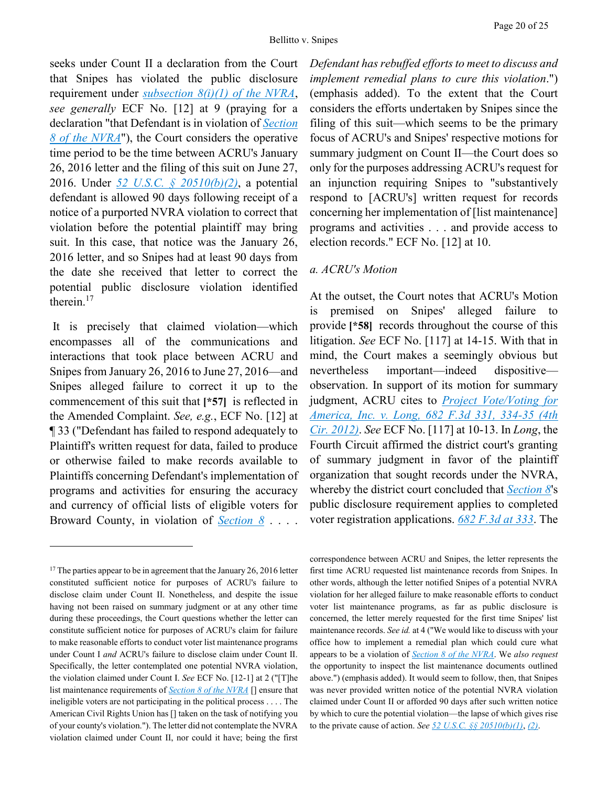seeks under Count II a declaration from the Court that Snipes has violated the public disclosure requirement under *[subsection 8\(i\)\(1\) of the NVRA](https://advance.lexis.com/api/document?collection=statutes-legislation&id=urn:contentItem:5D3N-F731-NRF4-4007-00000-00&context=)*, *see generally* ECF No. [12] at 9 (praying for a declaration "that Defendant is in violation of *[Section](https://advance.lexis.com/api/document?collection=statutes-legislation&id=urn:contentItem:5D3N-F731-NRF4-4007-00000-00&context=)  [8 of the NVRA](https://advance.lexis.com/api/document?collection=statutes-legislation&id=urn:contentItem:5D3N-F731-NRF4-4007-00000-00&context=)*"), the Court considers the operative time period to be the time between ACRU's January 26, 2016 letter and the filing of this suit on June 27, 2016. Under *[52 U.S.C. § 20510\(b\)\(2\)](https://advance.lexis.com/api/document?collection=statutes-legislation&id=urn:contentItem:5D3N-F741-NRF4-400B-00000-00&context=)*, a potential defendant is allowed 90 days following receipt of a notice of a purported NVRA violation to correct that violation before the potential plaintiff may bring suit. In this case, that notice was the January 26, 2016 letter, and so Snipes had at least 90 days from the date she received that letter to correct the potential public disclosure violation identified therein.<sup>17</sup>

It is precisely that claimed violation—which encompasses all of the communications and interactions that took place between ACRU and Snipes from January 26, 2016 to June 27, 2016—and Snipes alleged failure to correct it up to the commencement of this suit that **[\*57]** is reflected in the Amended Complaint. *See, e.g.*, ECF No. [12] at ¶ 33 ("Defendant has failed to respond adequately to Plaintiff's written request for data, failed to produce or otherwise failed to make records available to Plaintiffs concerning Defendant's implementation of programs and activities for ensuring the accuracy and currency of official lists of eligible voters for Broward County, in violation of *[Section 8](https://advance.lexis.com/api/document?collection=statutes-legislation&id=urn:contentItem:5D3N-F731-NRF4-4007-00000-00&context=)* . . . .

 $\overline{a}$ 

*Defendant has rebuffed efforts to meet to discuss and implement remedial plans to cure this violation*.") (emphasis added). To the extent that the Court considers the efforts undertaken by Snipes since the filing of this suit—which seems to be the primary focus of ACRU's and Snipes' respective motions for summary judgment on Count II—the Court does so only for the purposes addressing ACRU's request for an injunction requiring Snipes to "substantively respond to [ACRU's] written request for records concerning her implementation of [list maintenance] programs and activities . . . and provide access to election records." ECF No. [12] at 10.

#### *a. ACRU's Motion*

At the outset, the Court notes that ACRU's Motion is premised on Snipes' alleged failure to provide **[\*58]** records throughout the course of this litigation. *See* ECF No. [117] at 14-15. With that in mind, the Court makes a seemingly obvious but nevertheless important—indeed dispositive observation. In support of its motion for summary judgment, ACRU cites to *[Project Vote/Voting for](https://advance.lexis.com/api/document?collection=cases&id=urn:contentItem:55WM-M161-F04K-M322-00000-00&context=)  [America, Inc. v. Long, 682 F.3d 331, 334-35 \(4th](https://advance.lexis.com/api/document?collection=cases&id=urn:contentItem:55WM-M161-F04K-M322-00000-00&context=)  [Cir. 2012\)](https://advance.lexis.com/api/document?collection=cases&id=urn:contentItem:55WM-M161-F04K-M322-00000-00&context=)*. *See* ECF No. [117] at 10-13. In *Long*, the Fourth Circuit affirmed the district court's granting of summary judgment in favor of the plaintiff organization that sought records under the NVRA, whereby the district court concluded that *[Section 8](https://advance.lexis.com/api/document?collection=statutes-legislation&id=urn:contentItem:5D3N-F731-NRF4-4007-00000-00&context=)*'s public disclosure requirement applies to completed voter registration applications. *[682 F.3d at 333](https://advance.lexis.com/api/document?collection=cases&id=urn:contentItem:55WM-M161-F04K-M322-00000-00&context=)*. The

correspondence between ACRU and Snipes, the letter represents the first time ACRU requested list maintenance records from Snipes. In other words, although the letter notified Snipes of a potential NVRA violation for her alleged failure to make reasonable efforts to conduct voter list maintenance programs, as far as public disclosure is concerned, the letter merely requested for the first time Snipes' list maintenance records. *See id.* at 4 ("We would like to discuss with your office how to implement a remedial plan which could cure what appears to be a violation of *[Section 8 of the NVRA](https://advance.lexis.com/api/document?collection=statutes-legislation&id=urn:contentItem:5D3N-F731-NRF4-4007-00000-00&context=)*. We *also request* the opportunity to inspect the list maintenance documents outlined above.") (emphasis added). It would seem to follow, then, that Snipes was never provided written notice of the potential NVRA violation claimed under Count II or afforded 90 days after such written notice by which to cure the potential violation—the lapse of which gives rise to the private cause of action. *See [52 U.S.C. §§ 20510\(b\)\(1\)](https://advance.lexis.com/api/document?collection=statutes-legislation&id=urn:contentItem:5D3N-F741-NRF4-400B-00000-00&context=)*, *[\(2\)](https://advance.lexis.com/api/document?collection=statutes-legislation&id=urn:contentItem:5D3N-F741-NRF4-400B-00000-00&context=)*.

 $17$  The parties appear to be in agreement that the January 26, 2016 letter constituted sufficient notice for purposes of ACRU's failure to disclose claim under Count II. Nonetheless, and despite the issue having not been raised on summary judgment or at any other time during these proceedings, the Court questions whether the letter can constitute sufficient notice for purposes of ACRU's claim for failure to make reasonable efforts to conduct voter list maintenance programs under Count I *and* ACRU's failure to disclose claim under Count II. Specifically, the letter contemplated one potential NVRA violation, the violation claimed under Count I. *See* ECF No. [12-1] at 2 ("[T]he list maintenance requirements of *[Section 8 of the NVRA](https://advance.lexis.com/api/document?collection=statutes-legislation&id=urn:contentItem:5D3N-F731-NRF4-4007-00000-00&context=)* [] ensure that ineligible voters are not participating in the political process . . . . The American Civil Rights Union has [] taken on the task of notifying you of your county's violation."). The letter did not contemplate the NVRA violation claimed under Count II, nor could it have; being the first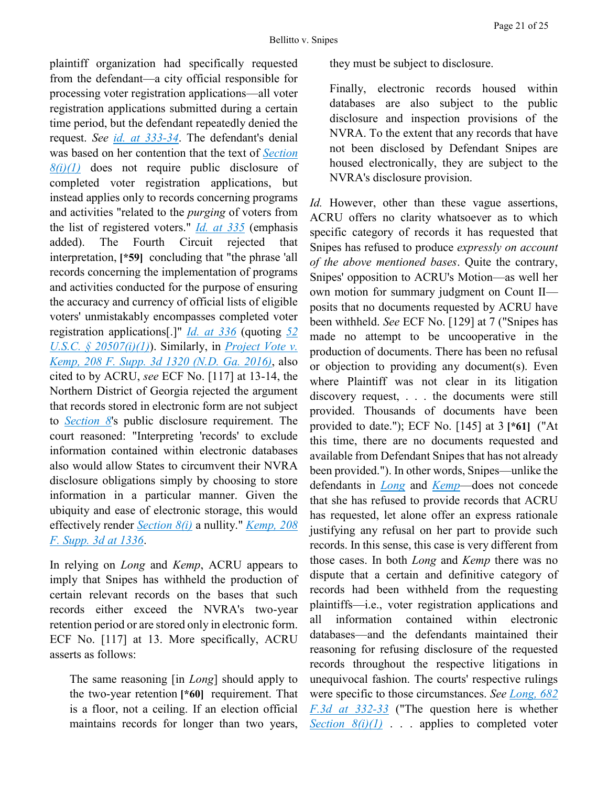plaintiff organization had specifically requested from the defendant—a city official responsible for processing voter registration applications—all voter registration applications submitted during a certain time period, but the defendant repeatedly denied the request. *See [id.](https://advance.lexis.com/api/document?collection=cases&id=urn:contentItem:55WM-M161-F04K-M322-00000-00&context=) [at 333-34](https://advance.lexis.com/api/document?collection=cases&id=urn:contentItem:55WM-M161-F04K-M322-00000-00&context=)*. The defendant's denial was based on her contention that the text of *[Section](https://advance.lexis.com/api/document?collection=statutes-legislation&id=urn:contentItem:5D3N-F731-NRF4-4007-00000-00&context=)  [8\(i\)\(1\)](https://advance.lexis.com/api/document?collection=statutes-legislation&id=urn:contentItem:5D3N-F731-NRF4-4007-00000-00&context=)* does not require public disclosure of completed voter registration applications, but instead applies only to records concerning programs and activities "related to the *purging* of voters from the list of registered voters." *[Id.](https://advance.lexis.com/api/document?collection=cases&id=urn:contentItem:55WM-M161-F04K-M322-00000-00&context=) [at 335](https://advance.lexis.com/api/document?collection=cases&id=urn:contentItem:55WM-M161-F04K-M322-00000-00&context=)* (emphasis added). The Fourth Circuit rejected that interpretation, **[\*59]** concluding that "the phrase 'all records concerning the implementation of programs and activities conducted for the purpose of ensuring the accuracy and currency of official lists of eligible voters' unmistakably encompasses completed voter registration applications[.]" *[Id.](https://advance.lexis.com/api/document?collection=cases&id=urn:contentItem:55WM-M161-F04K-M322-00000-00&context=) [at 336](https://advance.lexis.com/api/document?collection=cases&id=urn:contentItem:55WM-M161-F04K-M322-00000-00&context=)* (quoting *[52](https://advance.lexis.com/api/document?collection=statutes-legislation&id=urn:contentItem:5D3N-F731-NRF4-4007-00000-00&context=)  [U.S.C. § 20507\(i\)\(1\)](https://advance.lexis.com/api/document?collection=statutes-legislation&id=urn:contentItem:5D3N-F731-NRF4-4007-00000-00&context=)*). Similarly, in *[Project Vote v.](https://advance.lexis.com/api/document?collection=cases&id=urn:contentItem:5KRV-MCT1-F04D-23F9-00000-00&context=)  [Kemp, 208 F. Supp. 3d 1320 \(N.D. Ga. 2016\)](https://advance.lexis.com/api/document?collection=cases&id=urn:contentItem:5KRV-MCT1-F04D-23F9-00000-00&context=)*, also cited to by ACRU, *see* ECF No. [117] at 13-14, the Northern District of Georgia rejected the argument that records stored in electronic form are not subject to *[Section 8](https://advance.lexis.com/api/document?collection=statutes-legislation&id=urn:contentItem:5D3N-F731-NRF4-4007-00000-00&context=)*'s public disclosure requirement. The court reasoned: "Interpreting 'records' to exclude information contained within electronic databases also would allow States to circumvent their NVRA disclosure obligations simply by choosing to store information in a particular manner. Given the ubiquity and ease of electronic storage, this would effectively render *[Section 8\(i\)](https://advance.lexis.com/api/document?collection=statutes-legislation&id=urn:contentItem:5D3N-F731-NRF4-4007-00000-00&context=)* a nullity." *[Kemp, 208](https://advance.lexis.com/api/document?collection=cases&id=urn:contentItem:5KRV-MCT1-F04D-23F9-00000-00&context=)  [F. Supp. 3d at 1336](https://advance.lexis.com/api/document?collection=cases&id=urn:contentItem:5KRV-MCT1-F04D-23F9-00000-00&context=)*.

In relying on *Long* and *Kemp*, ACRU appears to imply that Snipes has withheld the production of certain relevant records on the bases that such records either exceed the NVRA's two-year retention period or are stored only in electronic form. ECF No. [117] at 13. More specifically, ACRU asserts as follows:

The same reasoning [in *Long*] should apply to the two-year retention **[\*60]** requirement. That is a floor, not a ceiling. If an election official maintains records for longer than two years, they must be subject to disclosure.

Finally, electronic records housed within databases are also subject to the public disclosure and inspection provisions of the NVRA. To the extent that any records that have not been disclosed by Defendant Snipes are housed electronically, they are subject to the NVRA's disclosure provision.

*Id.* However, other than these vague assertions, ACRU offers no clarity whatsoever as to which specific category of records it has requested that Snipes has refused to produce *expressly on account of the above mentioned bases*. Quite the contrary, Snipes' opposition to ACRU's Motion—as well her own motion for summary judgment on Count II posits that no documents requested by ACRU have been withheld. *See* ECF No. [129] at 7 ("Snipes has made no attempt to be uncooperative in the production of documents. There has been no refusal or objection to providing any document(s). Even where Plaintiff was not clear in its litigation discovery request, . . . the documents were still provided. Thousands of documents have been provided to date."); ECF No. [145] at 3 **[\*61]** ("At this time, there are no documents requested and available from Defendant Snipes that has not already been provided."). In other words, Snipes—unlike the defendants in *[Long](https://advance.lexis.com/api/document?collection=cases&id=urn:contentItem:55WM-M161-F04K-M322-00000-00&context=)* and *[Kemp](https://advance.lexis.com/api/document?collection=cases&id=urn:contentItem:5KRV-MCT1-F04D-23F9-00000-00&context=)*—does not concede that she has refused to provide records that ACRU has requested, let alone offer an express rationale justifying any refusal on her part to provide such records. In this sense, this case is very different from those cases. In both *Long* and *Kemp* there was no dispute that a certain and definitive category of records had been withheld from the requesting plaintiffs—i.e., voter registration applications and all information contained within electronic databases—and the defendants maintained their reasoning for refusing disclosure of the requested records throughout the respective litigations in unequivocal fashion. The courts' respective rulings were specific to those circumstances. *See [Long, 682](https://advance.lexis.com/api/document?collection=cases&id=urn:contentItem:55WM-M161-F04K-M322-00000-00&context=)  [F.3d at 332-33](https://advance.lexis.com/api/document?collection=cases&id=urn:contentItem:55WM-M161-F04K-M322-00000-00&context=)* ("The question here is whether *<u>Section*  $8(i)(1)$ *</u>* . . . applies to completed voter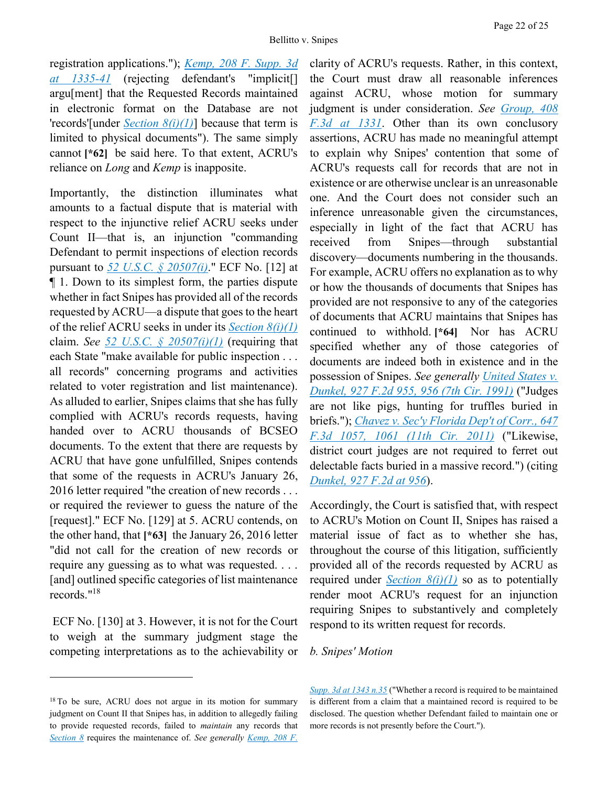registration applications."); *[Kemp, 208 F. Supp. 3d](https://advance.lexis.com/api/document?collection=cases&id=urn:contentItem:5KRV-MCT1-F04D-23F9-00000-00&context=)  [at 1335-41](https://advance.lexis.com/api/document?collection=cases&id=urn:contentItem:5KRV-MCT1-F04D-23F9-00000-00&context=)* (rejecting defendant's "implicit[] argu[ment] that the Requested Records maintained in electronic format on the Database are not 'records'[under *[Section 8\(i\)\(1\)](https://advance.lexis.com/api/document?collection=statutes-legislation&id=urn:contentItem:5D3N-F731-NRF4-4007-00000-00&context=)*] because that term is limited to physical documents"). The same simply cannot **[\*62]** be said here. To that extent, ACRU's reliance on *Long* and *Kemp* is inapposite.

Importantly, the distinction illuminates what amounts to a factual dispute that is material with respect to the injunctive relief ACRU seeks under Count II—that is, an injunction "commanding Defendant to permit inspections of election records pursuant to *[52 U.S.C. § 20507\(i\)](https://advance.lexis.com/api/document?collection=statutes-legislation&id=urn:contentItem:5D3N-F731-NRF4-4007-00000-00&context=)*." ECF No. [12] at ¶ 1. Down to its simplest form, the parties dispute whether in fact Snipes has provided all of the records requested by ACRU—a dispute that goes to the heart of the relief ACRU seeks in under its *[Section 8\(i\)\(1\)](https://advance.lexis.com/api/document?collection=statutes-legislation&id=urn:contentItem:5D3N-F731-NRF4-4007-00000-00&context=)* claim. *See [52 U.S.C. § 20507\(i\)\(1\)](https://advance.lexis.com/api/document?collection=statutes-legislation&id=urn:contentItem:5D3N-F731-NRF4-4007-00000-00&context=)* (requiring that each State "make available for public inspection . . . all records" concerning programs and activities related to voter registration and list maintenance). As alluded to earlier, Snipes claims that she has fully complied with ACRU's records requests, having handed over to ACRU thousands of BCSEO documents. To the extent that there are requests by ACRU that have gone unfulfilled, Snipes contends that some of the requests in ACRU's January 26, 2016 letter required "the creation of new records . . . or required the reviewer to guess the nature of the [request]." ECF No. [129] at 5. ACRU contends, on the other hand, that **[\*63]** the January 26, 2016 letter "did not call for the creation of new records or require any guessing as to what was requested. . . . [and] outlined specific categories of list maintenance records."<sup>18</sup>

ECF No. [130] at 3. However, it is not for the Court to weigh at the summary judgment stage the competing interpretations as to the achievability or

 $\overline{a}$ 

clarity of ACRU's requests. Rather, in this context, the Court must draw all reasonable inferences against ACRU, whose motion for summary judgment is under consideration. *See [Group, 408](https://advance.lexis.com/api/document?collection=cases&id=urn:contentItem:4G4P-SNT0-0038-X08R-00000-00&context=)  [F.3d at 1331](https://advance.lexis.com/api/document?collection=cases&id=urn:contentItem:4G4P-SNT0-0038-X08R-00000-00&context=)*. Other than its own conclusory assertions, ACRU has made no meaningful attempt to explain why Snipes' contention that some of ACRU's requests call for records that are not in existence or are otherwise unclear is an unreasonable one. And the Court does not consider such an inference unreasonable given the circumstances, especially in light of the fact that ACRU has received from Snipes—through substantial discovery—documents numbering in the thousands. For example, ACRU offers no explanation as to why or how the thousands of documents that Snipes has provided are not responsive to any of the categories of documents that ACRU maintains that Snipes has continued to withhold. **[\*64]** Nor has ACRU specified whether any of those categories of documents are indeed both in existence and in the possession of Snipes. *See generally [United States v.](https://advance.lexis.com/api/document?collection=cases&id=urn:contentItem:3S42-C2N0-008H-V0D8-00000-00&context=)  [Dunkel, 927 F.2d 955, 956 \(7th Cir. 1991\)](https://advance.lexis.com/api/document?collection=cases&id=urn:contentItem:3S42-C2N0-008H-V0D8-00000-00&context=)* ("Judges are not like pigs, hunting for truffles buried in briefs."); *[Chavez v. Sec'y Florida Dep't of Corr., 647](https://advance.lexis.com/api/document?collection=cases&id=urn:contentItem:53D4-FCN1-JCNJ-60GG-00000-00&context=)  [F.3d 1057, 1061 \(11th Cir. 2011\)](https://advance.lexis.com/api/document?collection=cases&id=urn:contentItem:53D4-FCN1-JCNJ-60GG-00000-00&context=)* ("Likewise, district court judges are not required to ferret out delectable facts buried in a massive record.") (citing *[Dunkel, 927 F.2d at 956](https://advance.lexis.com/api/document?collection=cases&id=urn:contentItem:3S42-C2N0-008H-V0D8-00000-00&context=)*).

Accordingly, the Court is satisfied that, with respect to ACRU's Motion on Count II, Snipes has raised a material issue of fact as to whether she has, throughout the course of this litigation, sufficiently provided all of the records requested by ACRU as required under *[Section 8\(i\)\(1\)](https://advance.lexis.com/api/document?collection=statutes-legislation&id=urn:contentItem:5D3N-F731-NRF4-4007-00000-00&context=)* so as to potentially render moot ACRU's request for an injunction requiring Snipes to substantively and completely respond to its written request for records.

#### *b. Snipes' Motion*

*[Supp. 3d at 1343 n.35](https://advance.lexis.com/api/document?collection=cases&id=urn:contentItem:5KRV-MCT1-F04D-23F9-00000-00&context=)* ("Whether a record is required to be maintained is different from a claim that a maintained record is required to be disclosed. The question whether Defendant failed to maintain one or more records is not presently before the Court.").

<sup>&</sup>lt;sup>18</sup> To be sure, ACRU does not argue in its motion for summary judgment on Count II that Snipes has, in addition to allegedly failing to provide requested records, failed to *maintain* any records that *[Section 8](https://advance.lexis.com/api/document?collection=statutes-legislation&id=urn:contentItem:5D3N-F731-NRF4-4007-00000-00&context=)* requires the maintenance of. *See generally [Kemp, 208 F.](https://advance.lexis.com/api/document?collection=cases&id=urn:contentItem:5KRV-MCT1-F04D-23F9-00000-00&context=)*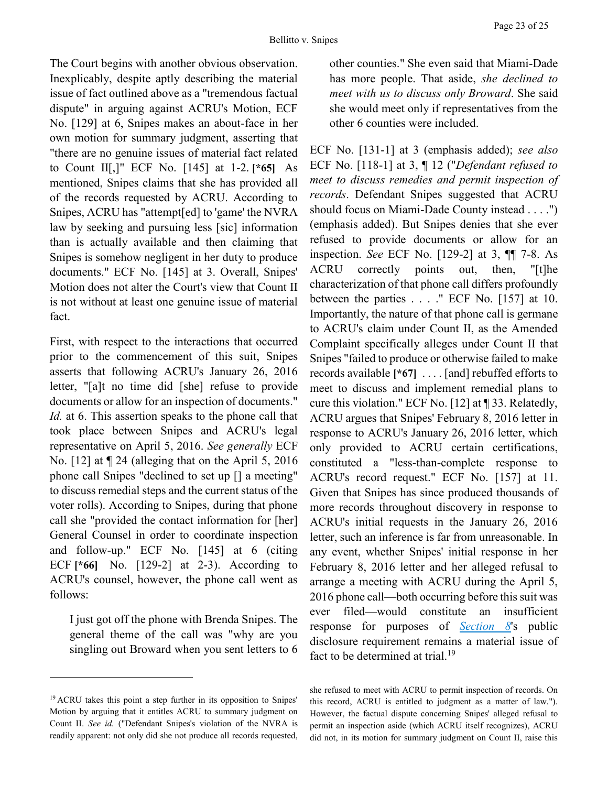The Court begins with another obvious observation. Inexplicably, despite aptly describing the material issue of fact outlined above as a "tremendous factual dispute" in arguing against ACRU's Motion, ECF No. [129] at 6, Snipes makes an about-face in her own motion for summary judgment, asserting that "there are no genuine issues of material fact related to Count II[,]" ECF No. [145] at 1-2. **[\*65]** As mentioned, Snipes claims that she has provided all of the records requested by ACRU. According to Snipes, ACRU has "attempt[ed] to 'game' the NVRA law by seeking and pursuing less [sic] information than is actually available and then claiming that Snipes is somehow negligent in her duty to produce documents." ECF No. [145] at 3. Overall, Snipes' Motion does not alter the Court's view that Count II is not without at least one genuine issue of material fact.

First, with respect to the interactions that occurred prior to the commencement of this suit, Snipes asserts that following ACRU's January 26, 2016 letter, "[a]t no time did [she] refuse to provide documents or allow for an inspection of documents." *Id.* at 6. This assertion speaks to the phone call that took place between Snipes and ACRU's legal representative on April 5, 2016. *See generally* ECF No. [12] at ¶ 24 (alleging that on the April 5, 2016 phone call Snipes "declined to set up [] a meeting" to discuss remedial steps and the current status of the voter rolls). According to Snipes, during that phone call she "provided the contact information for [her] General Counsel in order to coordinate inspection and follow-up." ECF No. [145] at 6 (citing ECF **[\*66]** No. [129-2] at 2-3). According to ACRU's counsel, however, the phone call went as follows:

I just got off the phone with Brenda Snipes. The general theme of the call was "why are you singling out Broward when you sent letters to 6

 $\overline{a}$ 

other counties." She even said that Miami-Dade has more people. That aside, *she declined to meet with us to discuss only Broward*. She said she would meet only if representatives from the other 6 counties were included.

ECF No. [131-1] at 3 (emphasis added); *see also* ECF No. [118-1] at 3, ¶ 12 ("*Defendant refused to meet to discuss remedies and permit inspection of records*. Defendant Snipes suggested that ACRU should focus on Miami-Dade County instead . . . .") (emphasis added). But Snipes denies that she ever refused to provide documents or allow for an inspection. *See* ECF No. [129-2] at 3, ¶¶ 7-8. As ACRU correctly points out, then, "[t]he characterization of that phone call differs profoundly between the parties  $\ldots$  ." ECF No. [157] at 10. Importantly, the nature of that phone call is germane to ACRU's claim under Count II, as the Amended Complaint specifically alleges under Count II that Snipes "failed to produce or otherwise failed to make records available **[\*67]** . . . . [and] rebuffed efforts to meet to discuss and implement remedial plans to cure this violation." ECF No. [12] at ¶ 33. Relatedly, ACRU argues that Snipes' February 8, 2016 letter in response to ACRU's January 26, 2016 letter, which only provided to ACRU certain certifications, constituted a "less-than-complete response to ACRU's record request." ECF No. [157] at 11. Given that Snipes has since produced thousands of more records throughout discovery in response to ACRU's initial requests in the January 26, 2016 letter, such an inference is far from unreasonable. In any event, whether Snipes' initial response in her February 8, 2016 letter and her alleged refusal to arrange a meeting with ACRU during the April 5, 2016 phone call—both occurring before this suit was ever filed—would constitute an insufficient response for purposes of *[Section 8](https://advance.lexis.com/api/document?collection=statutes-legislation&id=urn:contentItem:5D3N-F731-NRF4-4007-00000-00&context=)*'s public disclosure requirement remains a material issue of fact to be determined at trial.<sup>19</sup>

she refused to meet with ACRU to permit inspection of records. On this record, ACRU is entitled to judgment as a matter of law."). However, the factual dispute concerning Snipes' alleged refusal to permit an inspection aside (which ACRU itself recognizes), ACRU did not, in its motion for summary judgment on Count II, raise this

<sup>&</sup>lt;sup>19</sup> ACRU takes this point a step further in its opposition to Snipes' Motion by arguing that it entitles ACRU to summary judgment on Count II. *See id.* ("Defendant Snipes's violation of the NVRA is readily apparent: not only did she not produce all records requested,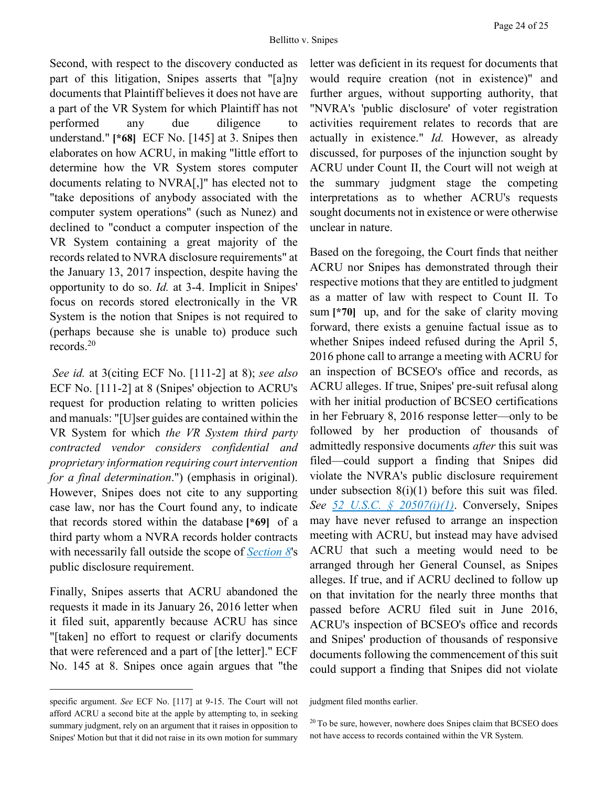Second, with respect to the discovery conducted as part of this litigation, Snipes asserts that "[a]ny documents that Plaintiff believes it does not have are a part of the VR System for which Plaintiff has not performed any due diligence to understand." **[\*68]** ECF No. [145] at 3. Snipes then elaborates on how ACRU, in making "little effort to determine how the VR System stores computer documents relating to NVRA[,]" has elected not to "take depositions of anybody associated with the computer system operations" (such as Nunez) and declined to "conduct a computer inspection of the VR System containing a great majority of the records related to NVRA disclosure requirements" at the January 13, 2017 inspection, despite having the opportunity to do so. *Id.* at 3-4. Implicit in Snipes' focus on records stored electronically in the VR System is the notion that Snipes is not required to (perhaps because she is unable to) produce such records.<sup>20</sup>

*See id.* at 3(citing ECF No. [111-2] at 8); *see also* ECF No. [111-2] at 8 (Snipes' objection to ACRU's request for production relating to written policies and manuals: "[U]ser guides are contained within the VR System for which *the VR System third party contracted vendor considers confidential and proprietary information requiring court intervention for a final determination*.") (emphasis in original). However, Snipes does not cite to any supporting case law, nor has the Court found any, to indicate that records stored within the database **[\*69]** of a third party whom a NVRA records holder contracts with necessarily fall outside the scope of *[Section 8](https://advance.lexis.com/api/document?collection=statutes-legislation&id=urn:contentItem:5D3N-F731-NRF4-4007-00000-00&context=)*'s public disclosure requirement.

Finally, Snipes asserts that ACRU abandoned the requests it made in its January 26, 2016 letter when it filed suit, apparently because ACRU has since "[taken] no effort to request or clarify documents that were referenced and a part of [the letter]." ECF No. 145 at 8. Snipes once again argues that "the

 $\overline{a}$ 

letter was deficient in its request for documents that would require creation (not in existence)" and further argues, without supporting authority, that "NVRA's 'public disclosure' of voter registration activities requirement relates to records that are actually in existence." *Id.* However, as already discussed, for purposes of the injunction sought by ACRU under Count II, the Court will not weigh at the summary judgment stage the competing interpretations as to whether ACRU's requests sought documents not in existence or were otherwise unclear in nature.

Based on the foregoing, the Court finds that neither ACRU nor Snipes has demonstrated through their respective motions that they are entitled to judgment as a matter of law with respect to Count II. To sum **[\*70]** up, and for the sake of clarity moving forward, there exists a genuine factual issue as to whether Snipes indeed refused during the April 5, 2016 phone call to arrange a meeting with ACRU for an inspection of BCSEO's office and records, as ACRU alleges. If true, Snipes' pre-suit refusal along with her initial production of BCSEO certifications in her February 8, 2016 response letter—only to be followed by her production of thousands of admittedly responsive documents *after* this suit was filed—could support a finding that Snipes did violate the NVRA's public disclosure requirement under subsection  $8(i)(1)$  before this suit was filed. *See [52 U.S.C. § 20507\(i\)\(1\)](https://advance.lexis.com/api/document?collection=statutes-legislation&id=urn:contentItem:5D3N-F731-NRF4-4007-00000-00&context=)*. Conversely, Snipes may have never refused to arrange an inspection meeting with ACRU, but instead may have advised ACRU that such a meeting would need to be arranged through her General Counsel, as Snipes alleges. If true, and if ACRU declined to follow up on that invitation for the nearly three months that passed before ACRU filed suit in June 2016, ACRU's inspection of BCSEO's office and records and Snipes' production of thousands of responsive documents following the commencement of this suit could support a finding that Snipes did not violate

specific argument. *See* ECF No. [117] at 9-15. The Court will not afford ACRU a second bite at the apple by attempting to, in seeking summary judgment, rely on an argument that it raises in opposition to Snipes' Motion but that it did not raise in its own motion for summary

judgment filed months earlier.

 $20$  To be sure, however, nowhere does Snipes claim that BCSEO does not have access to records contained within the VR System.